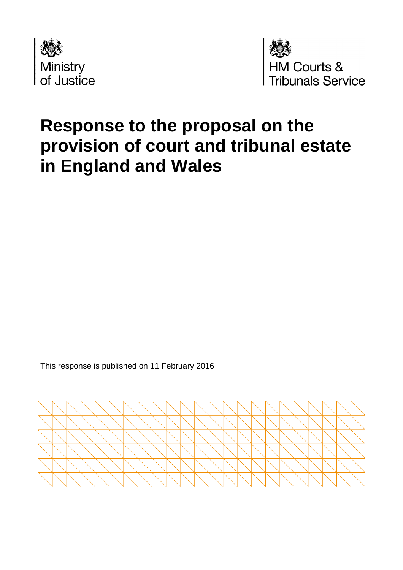



# **Response to the proposal on the provision of court and tribunal estate in England and Wales**

This response is published on 11 February 2016

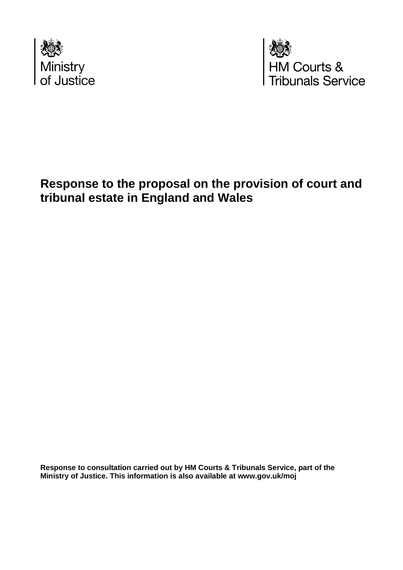



# **Response to the proposal on the provision of court and tribunal estate in England and Wales**

**Response to consultation carried out by HM Courts & Tribunals Service, part of the Ministry of Justice. This information is also available at www.gov.uk/moj**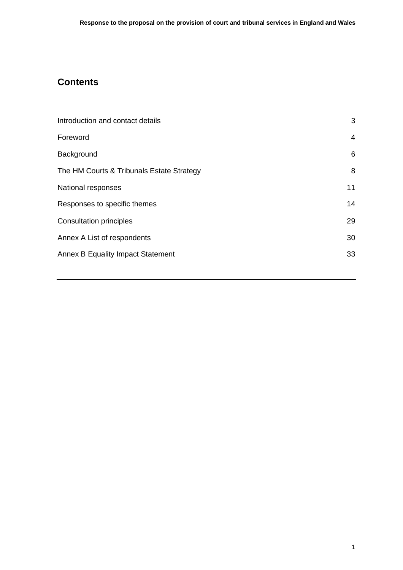# **Contents**

| Introduction and contact details          | 3              |
|-------------------------------------------|----------------|
| Foreword                                  | $\overline{4}$ |
| Background                                | 6              |
| The HM Courts & Tribunals Estate Strategy | 8              |
| National responses                        | 11             |
| Responses to specific themes              | 14             |
| <b>Consultation principles</b>            | 29             |
| Annex A List of respondents               | 30             |
| <b>Annex B Equality Impact Statement</b>  | 33             |
|                                           |                |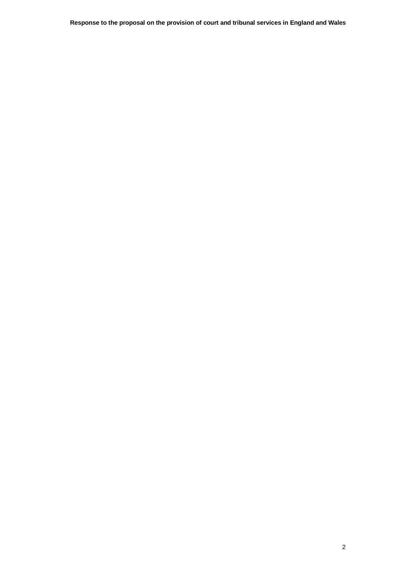**Response to the proposal on the provision of court and tribunal services in England and Wales**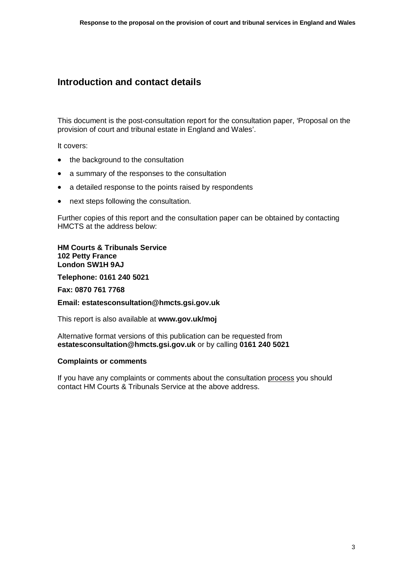# **Introduction and contact details**

This document is the post-consultation report for the consultation paper, 'Proposal on the provision of court and tribunal estate in England and Wales'.

It covers:

- the background to the consultation
- a summary of the responses to the consultation
- a detailed response to the points raised by respondents
- next steps following the consultation.

Further copies of this report and the consultation paper can be obtained by contacting HMCTS at the address below:

**HM Courts & Tribunals Service 102 Petty France London SW1H 9AJ**

**Telephone: 0161 240 5021**

**Fax: 0870 761 7768**

**Email: estatesconsultation@hmcts.gsi.gov.uk**

This report is also available at **www.gov.uk/moj**

Alternative format versions of this publication can be requested from **estatesconsultation@hmcts.gsi.gov.uk** or by calling **0161 240 5021**

#### **Complaints or comments**

If you have any complaints or comments about the consultation process you should contact HM Courts & Tribunals Service at the above address.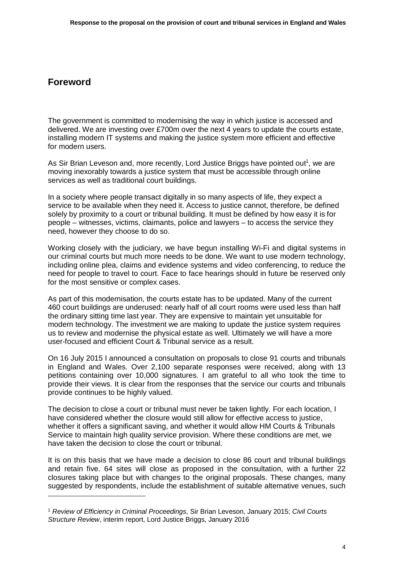### **Foreword**

j

The government is committed to modernising the way in which justice is accessed and delivered. We are investing over £700m over the next 4 years to update the courts estate, installing modern IT systems and making the justice system more efficient and effective for modern users.

As Sir Brian Leveson and, more recently, Lord Justice Briggs have pointed out<sup>1</sup>, we are moving inexorably towards a justice system that must be accessible through online services as well as traditional court buildings.

In a society where people transact digitally in so many aspects of life, they expect a service to be available when they need it. Access to justice cannot, therefore, be defined solely by proximity to a court or tribunal building. It must be defined by how easy it is for people – witnesses, victims, claimants, police and lawyers – to access the service they need, however they choose to do so.

Working closely with the judiciary, we have begun installing Wi-Fi and digital systems in our criminal courts but much more needs to be done. We want to use modern technology, including online plea, claims and evidence systems and video conferencing, to reduce the need for people to travel to court. Face to face hearings should in future be reserved only for the most sensitive or complex cases.

As part of this modernisation, the courts estate has to be updated. Many of the current 460 court buildings are underused: nearly half of all court rooms were used less than half the ordinary sitting time last year. They are expensive to maintain yet unsuitable for modern technology. The investment we are making to update the justice system requires us to review and modernise the physical estate as well. Ultimately we will have a more user-focused and efficient Court & Tribunal service as a result.

On 16 July 2015 I announced a consultation on proposals to close 91 courts and tribunals in England and Wales. Over 2,100 separate responses were received, along with 13 petitions containing over 10,000 signatures. I am grateful to all who took the time to provide their views. It is clear from the responses that the service our courts and tribunals provide continues to be highly valued.

The decision to close a court or tribunal must never be taken lightly. For each location, I have considered whether the closure would still allow for effective access to justice, whether it offers a significant saving, and whether it would allow HM Courts & Tribunals Service to maintain high quality service provision. Where these conditions are met, we have taken the decision to close the court or tribunal.

It is on this basis that we have made a decision to close 86 court and tribunal buildings and retain five. 64 sites will close as proposed in the consultation, with a further 22 closures taking place but with changes to the original proposals. These changes, many suggested by respondents, include the establishment of suitable alternative venues, such

<sup>1</sup> *Review of Efficiency in Criminal Proceedings*, Sir Brian Leveson, January 2015; *Civil Courts Structure Review*, interim report, Lord Justice Briggs, January 2016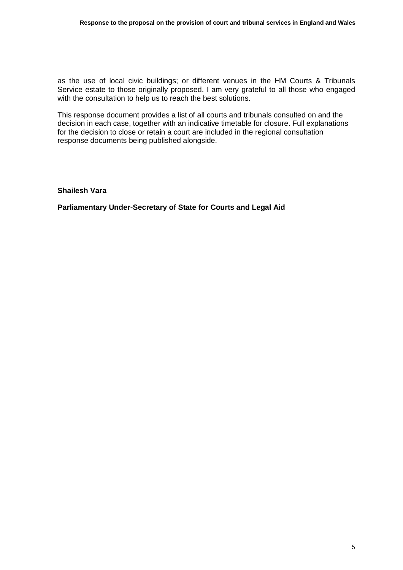as the use of local civic buildings; or different venues in the HM Courts & Tribunals Service estate to those originally proposed. I am very grateful to all those who engaged with the consultation to help us to reach the best solutions.

This response document provides a list of all courts and tribunals consulted on and the decision in each case, together with an indicative timetable for closure. Full explanations for the decision to close or retain a court are included in the regional consultation response documents being published alongside.

#### **Shailesh Vara**

**Parliamentary Under-Secretary of State for Courts and Legal Aid**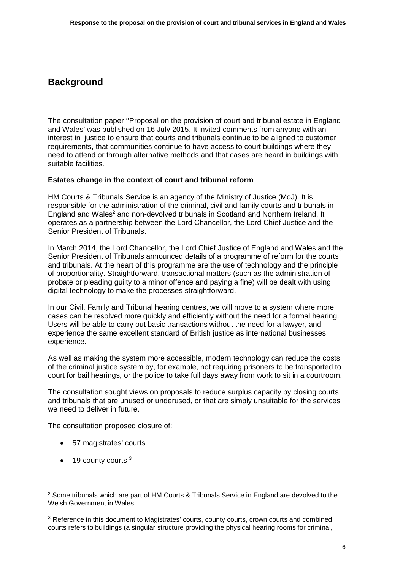# **Background**

The consultation paper ''Proposal on the provision of court and tribunal estate in England and Wales' was published on 16 July 2015. It invited comments from anyone with an interest in justice to ensure that courts and tribunals continue to be aligned to customer requirements, that communities continue to have access to court buildings where they need to attend or through alternative methods and that cases are heard in buildings with suitable facilities.

#### **Estates change in the context of court and tribunal reform**

HM Courts & Tribunals Service is an agency of the Ministry of Justice (MoJ). It is responsible for the administration of the criminal, civil and family courts and tribunals in England and Wales<sup>2</sup> and non-devolved tribunals in Scotland and Northern Ireland. It operates as a partnership between the Lord Chancellor, the Lord Chief Justice and the Senior President of Tribunals.

In March 2014, the Lord Chancellor, the Lord Chief Justice of England and Wales and the Senior President of Tribunals announced details of a programme of reform for the courts and tribunals. At the heart of this programme are the use of technology and the principle of proportionality. Straightforward, transactional matters (such as the administration of probate or pleading guilty to a minor offence and paying a fine) will be dealt with using digital technology to make the processes straightforward.

In our Civil, Family and Tribunal hearing centres, we will move to a system where more cases can be resolved more quickly and efficiently without the need for a formal hearing. Users will be able to carry out basic transactions without the need for a lawyer, and experience the same excellent standard of British justice as international businesses experience.

As well as making the system more accessible, modern technology can reduce the costs of the criminal justice system by, for example, not requiring prisoners to be transported to court for bail hearings, or the police to take full days away from work to sit in a courtroom.

The consultation sought views on proposals to reduce surplus capacity by closing courts and tribunals that are unused or underused, or that are simply unsuitable for the services we need to deliver in future.

The consultation proposed closure of:

- 57 magistrates' courts
- $\bullet$  19 county courts  $3$

j

<sup>2</sup> Some tribunals which are part of HM Courts & Tribunals Service in England are devolved to the Welsh Government in Wales.

<sup>&</sup>lt;sup>3</sup> Reference in this document to Magistrates' courts, county courts, crown courts and combined courts refers to buildings (a singular structure providing the physical hearing rooms for criminal,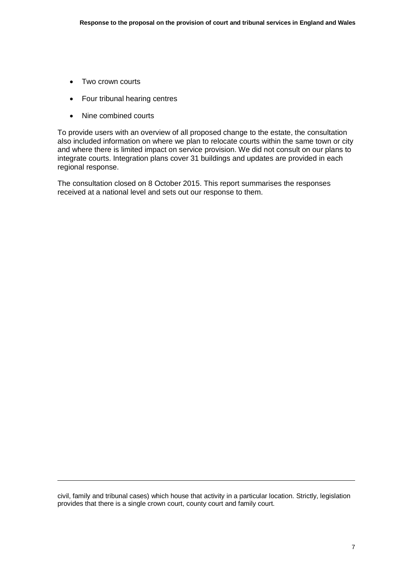• Two crown courts

 $\overline{a}$ 

- Four tribunal hearing centres
- Nine combined courts

To provide users with an overview of all proposed change to the estate, the consultation also included information on where we plan to relocate courts within the same town or city and where there is limited impact on service provision. We did not consult on our plans to integrate courts. Integration plans cover 31 buildings and updates are provided in each regional response.

The consultation closed on 8 October 2015. This report summarises the responses received at a national level and sets out our response to them.

civil, family and tribunal cases) which house that activity in a particular location. Strictly, legislation provides that there is a single crown court, county court and family court.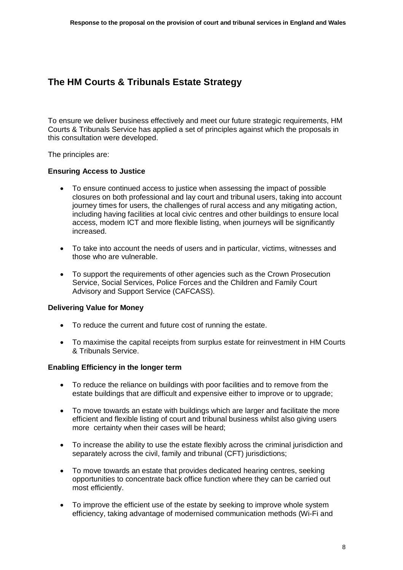# **The HM Courts & Tribunals Estate Strategy**

To ensure we deliver business effectively and meet our future strategic requirements, HM Courts & Tribunals Service has applied a set of principles against which the proposals in this consultation were developed.

The principles are:

#### **Ensuring Access to Justice**

- To ensure continued access to justice when assessing the impact of possible closures on both professional and lay court and tribunal users, taking into account journey times for users, the challenges of rural access and any mitigating action, including having facilities at local civic centres and other buildings to ensure local access, modern ICT and more flexible listing, when journeys will be significantly increased.
- To take into account the needs of users and in particular, victims, witnesses and those who are vulnerable.
- To support the requirements of other agencies such as the Crown Prosecution Service, Social Services, Police Forces and the Children and Family Court Advisory and Support Service (CAFCASS).

#### **Delivering Value for Money**

- To reduce the current and future cost of running the estate.
- To maximise the capital receipts from surplus estate for reinvestment in HM Courts & Tribunals Service.

#### **Enabling Efficiency in the longer term**

- To reduce the reliance on buildings with poor facilities and to remove from the estate buildings that are difficult and expensive either to improve or to upgrade;
- To move towards an estate with buildings which are larger and facilitate the more efficient and flexible listing of court and tribunal business whilst also giving users more certainty when their cases will be heard;
- To increase the ability to use the estate flexibly across the criminal jurisdiction and separately across the civil, family and tribunal (CFT) jurisdictions;
- To move towards an estate that provides dedicated hearing centres, seeking opportunities to concentrate back office function where they can be carried out most efficiently.
- To improve the efficient use of the estate by seeking to improve whole system efficiency, taking advantage of modernised communication methods (Wi-Fi and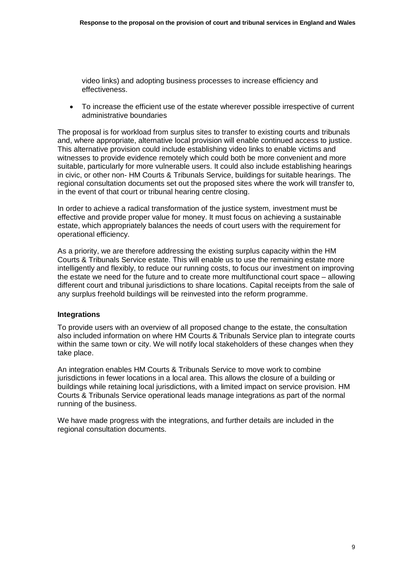video links) and adopting business processes to increase efficiency and effectiveness.

 To increase the efficient use of the estate wherever possible irrespective of current administrative boundaries

The proposal is for workload from surplus sites to transfer to existing courts and tribunals and, where appropriate, alternative local provision will enable continued access to justice. This alternative provision could include establishing video links to enable victims and witnesses to provide evidence remotely which could both be more convenient and more suitable, particularly for more vulnerable users. It could also include establishing hearings in civic, or other non- HM Courts & Tribunals Service, buildings for suitable hearings. The regional consultation documents set out the proposed sites where the work will transfer to, in the event of that court or tribunal hearing centre closing.

In order to achieve a radical transformation of the justice system, investment must be effective and provide proper value for money. It must focus on achieving a sustainable estate, which appropriately balances the needs of court users with the requirement for operational efficiency.

As a priority, we are therefore addressing the existing surplus capacity within the HM Courts & Tribunals Service estate. This will enable us to use the remaining estate more intelligently and flexibly, to reduce our running costs, to focus our investment on improving the estate we need for the future and to create more multifunctional court space – allowing different court and tribunal jurisdictions to share locations. Capital receipts from the sale of any surplus freehold buildings will be reinvested into the reform programme.

#### **Integrations**

To provide users with an overview of all proposed change to the estate, the consultation also included information on where HM Courts & Tribunals Service plan to integrate courts within the same town or city. We will notify local stakeholders of these changes when they take place.

An integration enables HM Courts & Tribunals Service to move work to combine jurisdictions in fewer locations in a local area. This allows the closure of a building or buildings while retaining local jurisdictions, with a limited impact on service provision. HM Courts & Tribunals Service operational leads manage integrations as part of the normal running of the business.

We have made progress with the integrations, and further details are included in the regional consultation documents.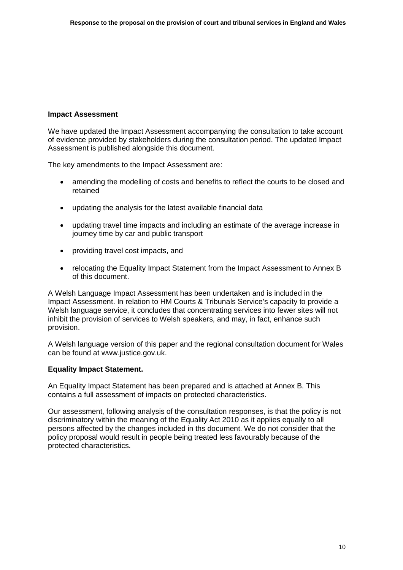#### **Impact Assessment**

We have updated the Impact Assessment accompanying the consultation to take account of evidence provided by stakeholders during the consultation period. The updated Impact Assessment is published alongside this document.

The key amendments to the Impact Assessment are:

- amending the modelling of costs and benefits to reflect the courts to be closed and retained
- updating the analysis for the latest available financial data
- updating travel time impacts and including an estimate of the average increase in journey time by car and public transport
- providing travel cost impacts, and
- relocating the Equality Impact Statement from the Impact Assessment to Annex B of this document.

A Welsh Language Impact Assessment has been undertaken and is included in the Impact Assessment. In relation to HM Courts & Tribunals Service's capacity to provide a Welsh language service, it concludes that concentrating services into fewer sites will not inhibit the provision of services to Welsh speakers, and may, in fact, enhance such provision.

A Welsh language version of this paper and the regional consultation document for Wales can be found at www.justice.gov.uk.

#### **Equality Impact Statement.**

An Equality Impact Statement has been prepared and is attached at Annex B. This contains a full assessment of impacts on protected characteristics.

Our assessment, following analysis of the consultation responses, is that the policy is not discriminatory within the meaning of the Equality Act 2010 as it applies equally to all persons affected by the changes included in ths document. We do not consider that the policy proposal would result in people being treated less favourably because of the protected characteristics.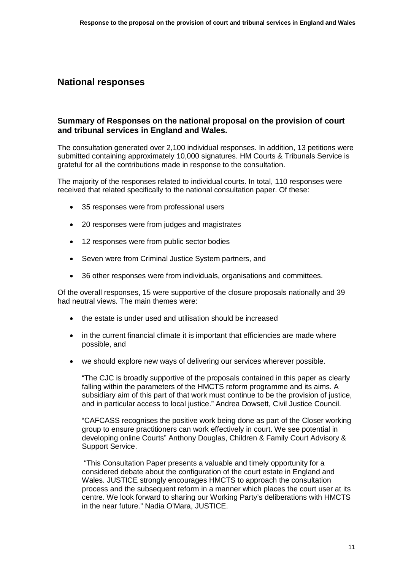## **National responses**

#### **Summary of Responses on the national proposal on the provision of court and tribunal services in England and Wales.**

The consultation generated over 2,100 individual responses. In addition, 13 petitions were submitted containing approximately 10,000 signatures. HM Courts & Tribunals Service is grateful for all the contributions made in response to the consultation.

The majority of the responses related to individual courts. In total, 110 responses were received that related specifically to the national consultation paper. Of these:

- 35 responses were from professional users
- 20 responses were from judges and magistrates
- 12 responses were from public sector bodies
- Seven were from Criminal Justice System partners, and
- 36 other responses were from individuals, organisations and committees.

Of the overall responses, 15 were supportive of the closure proposals nationally and 39 had neutral views. The main themes were:

- the estate is under used and utilisation should be increased
- in the current financial climate it is important that efficiencies are made where possible, and
- we should explore new ways of delivering our services wherever possible.

"The CJC is broadly supportive of the proposals contained in this paper as clearly falling within the parameters of the HMCTS reform programme and its aims. A subsidiary aim of this part of that work must continue to be the provision of justice, and in particular access to local justice." Andrea Dowsett, Civil Justice Council.

"CAFCASS recognises the positive work being done as part of the Closer working group to ensure practitioners can work effectively in court. We see potential in developing online Courts" Anthony Douglas, Children & Family Court Advisory & Support Service.

"This Consultation Paper presents a valuable and timely opportunity for a considered debate about the configuration of the court estate in England and Wales. JUSTICE strongly encourages HMCTS to approach the consultation process and the subsequent reform in a manner which places the court user at its centre. We look forward to sharing our Working Party's deliberations with HMCTS in the near future." Nadia O'Mara, JUSTICE.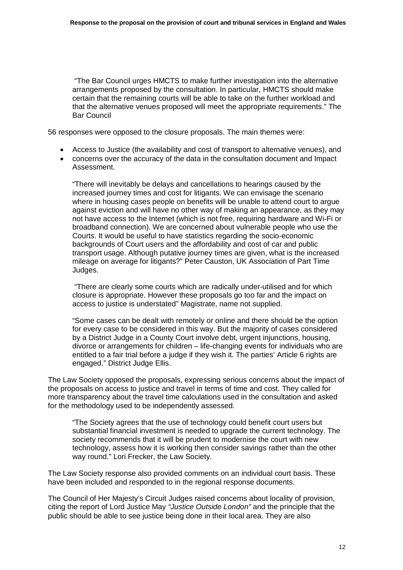"The Bar Council urges HMCTS to make further investigation into the alternative arrangements proposed by the consultation. In particular, HMCTS should make certain that the remaining courts will be able to take on the further workload and that the alternative venues proposed will meet the appropriate requirements." The Bar Council

56 responses were opposed to the closure proposals. The main themes were:

- Access to Justice (the availability and cost of transport to alternative venues), and
- concerns over the accuracy of the data in the consultation document and Impact Assessment.

"There will inevitably be delays and cancellations to hearings caused by the increased journey times and cost for litigants. We can envisage the scenario where in housing cases people on benefits will be unable to attend court to argue against eviction and will have no other way of making an appearance, as they may not have access to the Internet (which is not free, requiring hardware and Wi-Fi or broadband connection). We are concerned about vulnerable people who use the Courts. It would be useful to have statistics regarding the socio-economic backgrounds of Court users and the affordability and cost of car and public transport usage. Although putative journey times are given, what is the increased mileage on average for litigants?" Peter Causton, UK Association of Part Time Judges.

"There are clearly some courts which are radically under-utilised and for which closure is appropriate. However these proposals go too far and the impact on access to justice is understated" Magistrate, name not supplied.

"Some cases can be dealt with remotely or online and there should be the option for every case to be considered in this way. But the majority of cases considered by a District Judge in a County Court involve debt, urgent injunctions, housing, divorce or arrangements for children – life-changing events for individuals who are entitled to a fair trial before a judge if they wish it. The parties' Article 6 rights are engaged." District Judge Ellis.

The Law Society opposed the proposals, expressing serious concerns about the impact of the proposals on access to justice and travel in terms of time and cost. They called for more transparency about the travel time calculations used in the consultation and asked for the methodology used to be independently assessed*.*

"The Society agrees that the use of technology could benefit court users but substantial financial investment is needed to upgrade the current technology. The society recommends that it will be prudent to modernise the court with new technology, assess how it is working then consider savings rather than the other way round." Lori Frecker, the Law Society.

The Law Society response also provided comments on an individual court basis. These have been included and responded to in the regional response documents.

The Council of Her Majesty's Circuit Judges raised concerns about locality of provision, citing the report of Lord Justice May *"Justice Outside London"* and the principle that the public should be able to see justice being done in their local area. They are also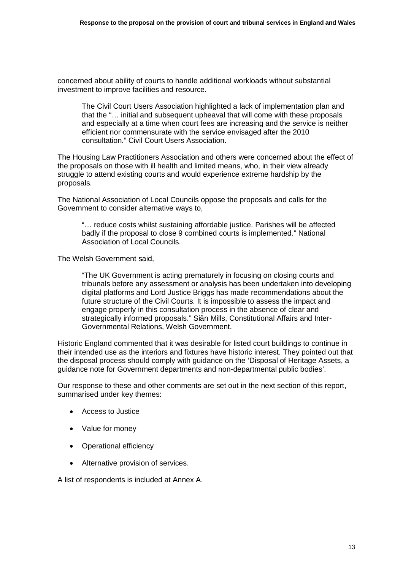concerned about ability of courts to handle additional workloads without substantial investment to improve facilities and resource.

The Civil Court Users Association highlighted a lack of implementation plan and that the "… initial and subsequent upheaval that will come with these proposals and especially at a time when court fees are increasing and the service is neither efficient nor commensurate with the service envisaged after the 2010 consultation." Civil Court Users Association.

The Housing Law Practitioners Association and others were concerned about the effect of the proposals on those with ill health and limited means, who, in their view already struggle to attend existing courts and would experience extreme hardship by the proposals.

The National Association of Local Councils oppose the proposals and calls for the Government to consider alternative ways to,

"… reduce costs whilst sustaining affordable justice. Parishes will be affected badly if the proposal to close 9 combined courts is implemented." National Association of Local Councils.

The Welsh Government said,

"The UK Government is acting prematurely in focusing on closing courts and tribunals before any assessment or analysis has been undertaken into developing digital platforms and Lord Justice Briggs has made recommendations about the future structure of the Civil Courts. It is impossible to assess the impact and engage properly in this consultation process in the absence of clear and strategically informed proposals." Siân Mills, Constitutional Affairs and Inter-Governmental Relations, Welsh Government.

Historic England commented that it was desirable for listed court buildings to continue in their intended use as the interiors and fixtures have historic interest. They pointed out that the disposal process should comply with guidance on the 'Disposal of Heritage Assets, a guidance note for Government departments and non-departmental public bodies'.

Our response to these and other comments are set out in the next section of this report, summarised under key themes:

- Access to Justice
- Value for money
- Operational efficiency
- Alternative provision of services.

A list of respondents is included at Annex A.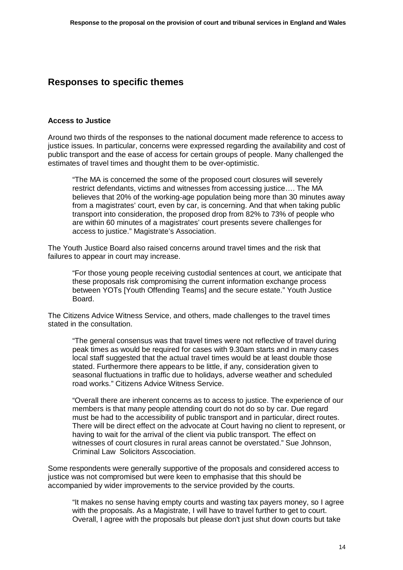#### **Responses to specific themes**

#### **Access to Justice**

Around two thirds of the responses to the national document made reference to access to justice issues. In particular, concerns were expressed regarding the availability and cost of public transport and the ease of access for certain groups of people. Many challenged the estimates of travel times and thought them to be over-optimistic.

"The MA is concerned the some of the proposed court closures will severely restrict defendants, victims and witnesses from accessing justice…. The MA believes that 20% of the working-age population being more than 30 minutes away from a magistrates' court, even by car, is concerning. And that when taking public transport into consideration, the proposed drop from 82% to 73% of people who are within 60 minutes of a magistrates' court presents severe challenges for access to justice." Magistrate's Association.

The Youth Justice Board also raised concerns around travel times and the risk that failures to appear in court may increase.

"For those young people receiving custodial sentences at court, we anticipate that these proposals risk compromising the current information exchange process between YOTs [Youth Offending Teams] and the secure estate." Youth Justice Board.

The Citizens Advice Witness Service, and others, made challenges to the travel times stated in the consultation.

"The general consensus was that travel times were not reflective of travel during peak times as would be required for cases with 9.30am starts and in many cases local staff suggested that the actual travel times would be at least double those stated. Furthermore there appears to be little, if any, consideration given to seasonal fluctuations in traffic due to holidays, adverse weather and scheduled road works." Citizens Advice Witness Service.

"Overall there are inherent concerns as to access to justice. The experience of our members is that many people attending court do not do so by car. Due regard must be had to the accessibility of public transport and in particular, direct routes. There will be direct effect on the advocate at Court having no client to represent, or having to wait for the arrival of the client via public transport. The effect on witnesses of court closures in rural areas cannot be overstated." Sue Johnson, Criminal Law Solicitors Asscociation.

Some respondents were generally supportive of the proposals and considered access to justice was not compromised but were keen to emphasise that this should be accompanied by wider improvements to the service provided by the courts.

"It makes no sense having empty courts and wasting tax payers money, so I agree with the proposals. As a Magistrate, I will have to travel further to get to court. Overall, I agree with the proposals but please don't just shut down courts but take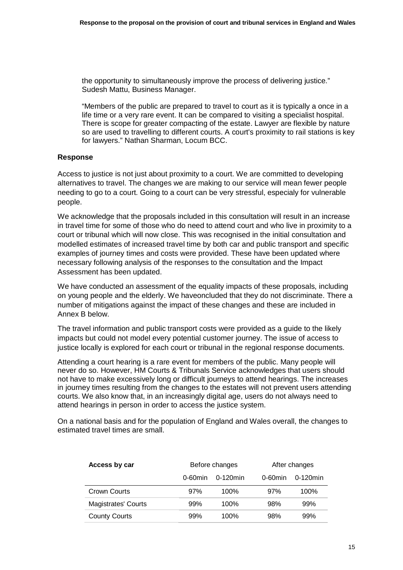the opportunity to simultaneously improve the process of delivering justice." Sudesh Mattu, Business Manager.

"Members of the public are prepared to travel to court as it is typically a once in a life time or a very rare event. It can be compared to visiting a specialist hospital. There is scope for greater compacting of the estate. Lawyer are flexible by nature so are used to travelling to different courts. A court's proximity to rail stations is key for lawyers." Nathan Sharman, Locum BCC.

#### **Response**

Access to justice is not just about proximity to a court. We are committed to developing alternatives to travel. The changes we are making to our service will mean fewer people needing to go to a court. Going to a court can be very stressful, especialy for vulnerable people.

We acknowledge that the proposals included in this consultation will result in an increase in travel time for some of those who do need to attend court and who live in proximity to a court or tribunal which will now close. This was recognised in the initial consultation and modelled estimates of increased travel time by both car and public transport and specific examples of journey times and costs were provided. These have been updated where necessary following analysis of the responses to the consultation and the Impact Assessment has been updated.

We have conducted an assessment of the equality impacts of these proposals, including on young people and the elderly. We haveoncluded that they do not discriminate. There a number of mitigations against the impact of these changes and these are included in Annex B below.

The travel information and public transport costs were provided as a guide to the likely impacts but could not model every potential customer journey. The issue of access to justice locally is explored for each court or tribunal in the regional response documents.

Attending a court hearing is a rare event for members of the public. Many people will never do so. However, HM Courts & Tribunals Service acknowledges that users should not have to make excessively long or difficult journeys to attend hearings. The increases in journey times resulting from the changes to the estates will not prevent users attending courts. We also know that, in an increasingly digital age, users do not always need to attend hearings in person in order to access the justice system.

On a national basis and for the population of England and Wales overall, the changes to estimated travel times are small.

| Access by car              |         | Before changes | After changes |             |  |
|----------------------------|---------|----------------|---------------|-------------|--|
|                            | 0-60min | $0 - 120$ min  | 0-60min       | $0-120$ min |  |
| <b>Crown Courts</b>        | 97%     | $100\%$        | 97%           | 100%        |  |
| <b>Magistrates' Courts</b> | 99%     | 100%           | 98%           | 99%         |  |
| <b>County Courts</b>       | 99%     | $100\%$        | 98%           | 99%         |  |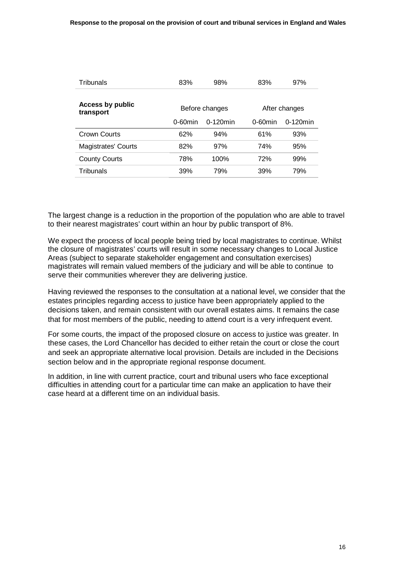| Tribunals                            | 83%     | 98%            | 83%        | 97%           |
|--------------------------------------|---------|----------------|------------|---------------|
| <b>Access by public</b><br>transport |         | Before changes |            | After changes |
|                                      | 0-60min | $0 - 120$ min  | $0-60$ min | $0 - 120$ min |
| Crown Courts                         | 62%     | 94%            | 61%        | 93%           |
| <b>Magistrates' Courts</b>           | 82%     | 97%            | 74%        | 95%           |
| <b>County Courts</b>                 | 78%     | 100%           | 72%        | 99%           |
| Tribunals                            | 39%     | 79%            | 39%        | 79%           |

The largest change is a reduction in the proportion of the population who are able to travel to their nearest magistrates' court within an hour by public transport of 8%.

We expect the process of local people being tried by local magistrates to continue. Whilst the closure of magistrates' courts will result in some necessary changes to Local Justice Areas (subject to separate stakeholder engagement and consultation exercises) magistrates will remain valued members of the judiciary and will be able to continue to serve their communities wherever they are delivering justice.

Having reviewed the responses to the consultation at a national level, we consider that the estates principles regarding access to justice have been appropriately applied to the decisions taken, and remain consistent with our overall estates aims. It remains the case that for most members of the public, needing to attend court is a very infrequent event.

For some courts, the impact of the proposed closure on access to justice was greater. In these cases, the Lord Chancellor has decided to either retain the court or close the court and seek an appropriate alternative local provision. Details are included in the Decisions section below and in the appropriate regional response document.

In addition, in line with current practice, court and tribunal users who face exceptional difficulties in attending court for a particular time can make an application to have their case heard at a different time on an individual basis.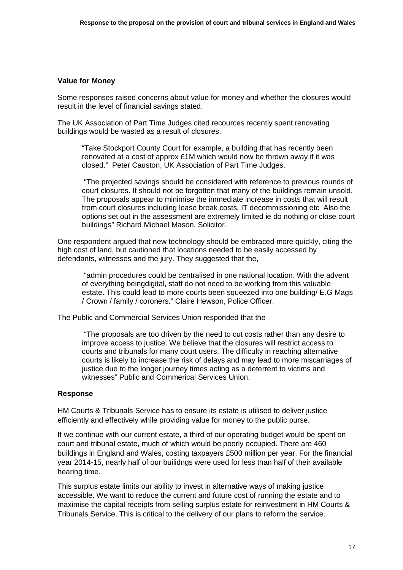#### **Value for Money**

Some responses raised concerns about value for money and whether the closures would result in the level of financial savings stated.

The UK Association of Part Time Judges cited recources recently spent renovating buildings would be wasted as a result of closures.

"Take Stockport County Court for example, a building that has recently been renovated at a cost of approx £1M which would now be thrown away if it was closed." Peter Causton, UK Association of Part Time Judges.

"The projected savings should be considered with reference to previous rounds of court closures. It should not be forgotten that many of the buildings remain unsold. The proposals appear to minimise the immediate increase in costs that will result from court closures including lease break costs, IT decommissioning etc Also the options set out in the assessment are extremely limited ie do nothing or close court buildings" Richard Michael Mason, Solicitor*.*

One respondent argued that new technology should be embraced more quickly, citing the high cost of land, but cautioned that locations needed to be easily accessed by defendants, witnesses and the jury. They suggested that the,

"admin procedures could be centralised in one national location. With the advent of everything beingdigital, staff do not need to be working from this valuable estate. This could lead to more courts been squeezed into one building/ E.G Mags / Crown / family / coroners." Claire Hewson, Police Officer.

The Public and Commercial Services Union responded that the

"The proposals are too driven by the need to cut costs rather than any desire to improve access to justice. We believe that the closures will restrict access to courts and tribunals for many court users. The difficulty in reaching alternative courts is likely to increase the risk of delays and may lead to more miscarriages of justice due to the longer journey times acting as a deterrent to victims and witnesses" Public and Commerical Services Union.

#### **Response**

HM Courts & Tribunals Service has to ensure its estate is utilised to deliver justice efficiently and effectively while providing value for money to the public purse.

If we continue with our current estate, a third of our operating budget would be spent on court and tribunal estate, much of which would be poorly occupied. There are 460 buildings in England and Wales, costing taxpayers £500 million per year. For the financial year 2014-15, nearly half of our builidngs were used for less than half of their available hearing time.

This surplus estate limits our ability to invest in alternative ways of making justice accessible. We want to reduce the current and future cost of running the estate and to maximise the capital receipts from selling surplus estate for reinvestment in HM Courts & Tribunals Service. This is critical to the delivery of our plans to reform the service.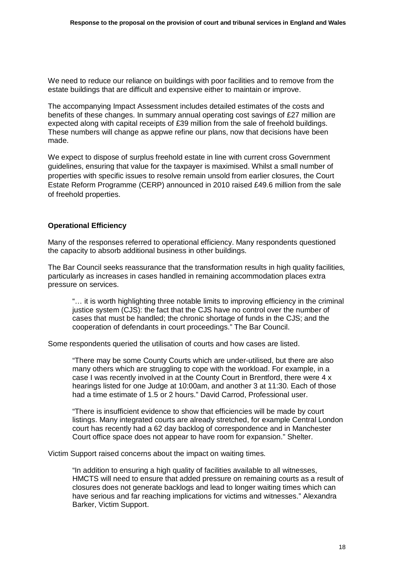We need to reduce our reliance on buildings with poor facilities and to remove from the estate buildings that are difficult and expensive either to maintain or improve.

The accompanying Impact Assessment includes detailed estimates of the costs and benefits of these changes. In summary annual operating cost savings of £27 million are expected along with capital receipts of £39 million from the sale of freehold buildings. These numbers will change as appwe refine our plans, now that decisions have been made.

We expect to dispose of surplus freehold estate in line with current cross Government guidelines, ensuring that value for the taxpayer is maximised. Whilst a small number of properties with specific issues to resolve remain unsold from earlier closures, the Court Estate Reform Programme (CERP) announced in 2010 raised £49.6 million from the sale of freehold properties.

#### **Operational Efficiency**

Many of the responses referred to operational efficiency. Many respondents questioned the capacity to absorb additional business in other buildings.

The Bar Council seeks reassurance that the transformation results in high quality facilities, particularly as increases in cases handled in remaining accommodation places extra pressure on services.

"… it is worth highlighting three notable limits to improving efficiency in the criminal justice system (CJS): the fact that the CJS have no control over the number of cases that must be handled; the chronic shortage of funds in the CJS; and the cooperation of defendants in court proceedings." The Bar Council.

Some respondents queried the utilisation of courts and how cases are listed.

"There may be some County Courts which are under-utilised, but there are also many others which are struggling to cope with the workload. For example, in a case I was recently involved in at the County Court in Brentford, there were 4 x hearings listed for one Judge at 10:00am, and another 3 at 11:30. Each of those had a time estimate of 1.5 or 2 hours." David Carrod, Professional user.

"There is insufficient evidence to show that efficiencies will be made by court listings. Many integrated courts are already stretched, for example Central London court has recently had a 62 day backlog of correspondence and in Manchester Court office space does not appear to have room for expansion." Shelter.

Victim Support raised concerns about the impact on waiting times.

"In addition to ensuring a high quality of facilities available to all witnesses, HMCTS will need to ensure that added pressure on remaining courts as a result of closures does not generate backlogs and lead to longer waiting times which can have serious and far reaching implications for victims and witnesses." Alexandra Barker, Victim Support.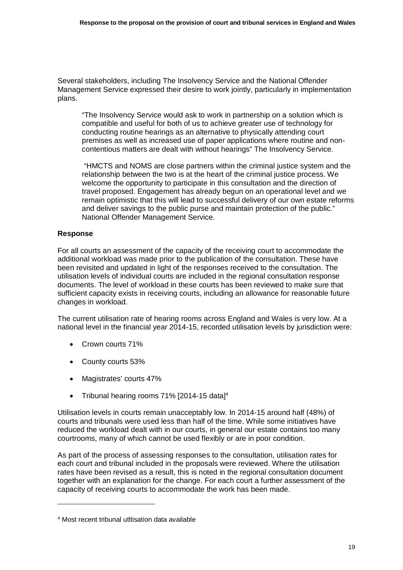Several stakeholders, including The Insolvency Service and the National Offender Management Service expressed their desire to work jointly, particularly in implementation plans.

"The Insolvency Service would ask to work in partnership on a solution which is compatible and useful for both of us to achieve greater use of technology for conducting routine hearings as an alternative to physically attending court premises as well as increased use of paper applications where routine and noncontentious matters are dealt with without hearings" The Insolvency Service.

"HMCTS and NOMS are close partners within the criminal justice system and the relationship between the two is at the heart of the criminal justice process. We welcome the opportunity to participate in this consultation and the direction of travel proposed. Engagement has already begun on an operational level and we remain optimistic that this will lead to successful delivery of our own estate reforms and deliver savings to the public purse and maintain protection of the public." National Offender Management Service.

#### **Response**

 $\overline{a}$ 

For all courts an assessment of the capacity of the receiving court to accommodate the additional workload was made prior to the publication of the consultation. These have been revisited and updated in light of the responses received to the consultation. The utilisation levels of individual courts are included in the regional consultation response documents. The level of workload in these courts has been reviewed to make sure that sufficient capacity exists in receiving courts, including an allowance for reasonable future changes in workload.

The current utilisation rate of hearing rooms across England and Wales is very low. At a national level in the financial year 2014-15, recorded utilisation levels by jurisdiction were:

- Crown courts 71%
- County courts 53%
- Magistrates' courts 47%
- Tribunal hearing rooms 71% [2014-15 data]<sup>4</sup>

Utilisation levels in courts remain unacceptably low. In 2014-15 around half (48%) of courts and tribunals were used less than half of the time. While some initiatives have reduced the workload dealt with in our courts, in general our estate contains too many courtrooms, many of which cannot be used flexibly or are in poor condition.

As part of the process of assessing responses to the consultation, utilisation rates for each court and tribunal included in the proposals were reviewed. Where the utilisation rates have been revised as a result, this is noted in the regional consultation document together with an explanation for the change. For each court a further assessment of the capacity of receiving courts to accommodate the work has been made.

<sup>4</sup> Most recent tribunal utltisation data available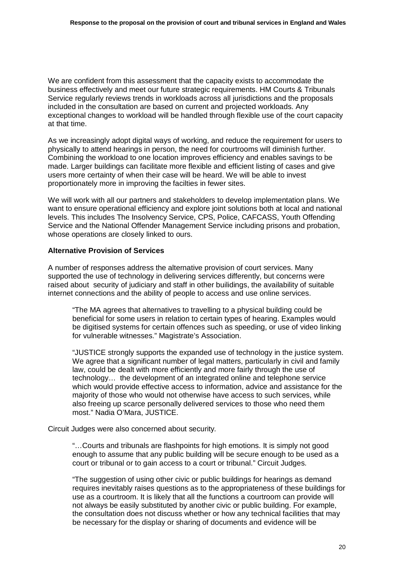We are confident from this assessment that the capacity exists to accommodate the business effectively and meet our future strategic requirements. HM Courts & Tribunals Service regularly reviews trends in workloads across all jurisdictions and the proposals included in the consultation are based on current and projected workloads. Any exceptional changes to workload will be handled through flexible use of the court capacity at that time.

As we increasingly adopt digital ways of working, and reduce the requirement for users to physically to attend hearings in person, the need for courtrooms will diminish further. Combining the workload to one location improves efficiency and enables savings to be made. Larger buildings can facilitate more flexible and efficient listing of cases and give users more certainty of when their case will be heard. We will be able to invest proportionately more in improving the facilties in fewer sites.

We will work with all our partners and stakeholders to develop implementation plans. We want to ensure operational efficiency and explore joint solutions both at local and national levels. This includes The Insolvency Service, CPS, Police, CAFCASS, Youth Offending Service and the National Offender Management Service including prisons and probation, whose operations are closely linked to ours.

#### **Alternative Provision of Services**

A number of responses address the alternative provision of court services. Many supported the use of technology in delivering services differently, but concerns were raised about security of judiciary and staff in other builidings, the availability of suitable internet connections and the ability of people to access and use online services.

"The MA agrees that alternatives to travelling to a physical building could be beneficial for some users in relation to certain types of hearing. Examples would be digitised systems for certain offences such as speeding, or use of video linking for vulnerable witnesses." Magistrate's Association.

"JUSTICE strongly supports the expanded use of technology in the justice system. We agree that a significant number of legal matters, particularly in civil and family law, could be dealt with more efficiently and more fairly through the use of technology… the development of an integrated online and telephone service which would provide effective access to information, advice and assistance for the majority of those who would not otherwise have access to such services, while also freeing up scarce personally delivered services to those who need them most." Nadia O'Mara, JUSTICE.

Circuit Judges were also concerned about security*.* 

"…Courts and tribunals are flashpoints for high emotions. It is simply not good enough to assume that any public building will be secure enough to be used as a court or tribunal or to gain access to a court or tribunal." Circuit Judges.

"The suggestion of using other civic or public buildings for hearings as demand requires inevitably raises questions as to the appropriateness of these buildings for use as a courtroom. It is likely that all the functions a courtroom can provide will not always be easily substituted by another civic or public building. For example, the consultation does not discuss whether or how any technical facilities that may be necessary for the display or sharing of documents and evidence will be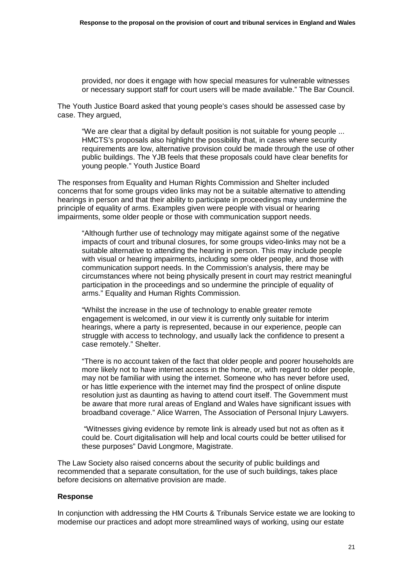provided, nor does it engage with how special measures for vulnerable witnesses or necessary support staff for court users will be made available." The Bar Council.

The Youth Justice Board asked that young people's cases should be assessed case by case. They argued,

"We are clear that a digital by default position is not suitable for young people ... HMCTS's proposals also highlight the possibility that, in cases where security requirements are low, alternative provision could be made through the use of other public buildings. The YJB feels that these proposals could have clear benefits for young people." Youth Justice Board

The responses from Equality and Human Rights Commission and Shelter included concerns that for some groups video links may not be a suitable alternative to attending hearings in person and that their ability to participate in proceedings may undermine the principle of equality of arms. Examples given were people with visual or hearing impairments, some older people or those with communication support needs.

"Although further use of technology may mitigate against some of the negative impacts of court and tribunal closures, for some groups video-links may not be a suitable alternative to attending the hearing in person. This may include people with visual or hearing impairments, including some older people, and those with communication support needs. In the Commission's analysis, there may be circumstances where not being physically present in court may restrict meaningful participation in the proceedings and so undermine the principle of equality of arms." Equality and Human Rights Commission.

"Whilst the increase in the use of technology to enable greater remote engagement is welcomed, in our view it is currently only suitable for interim hearings, where a party is represented, because in our experience, people can struggle with access to technology, and usually lack the confidence to present a case remotely." Shelter.

"There is no account taken of the fact that older people and poorer households are more likely not to have internet access in the home, or, with regard to older people, may not be familiar with using the internet. Someone who has never before used, or has little experience with the internet may find the prospect of online dispute resolution just as daunting as having to attend court itself. The Government must be aware that more rural areas of England and Wales have significant issues with broadband coverage." Alice Warren, The Association of Personal Injury Lawyers.

"Witnesses giving evidence by remote link is already used but not as often as it could be. Court digitalisation will help and local courts could be better utilised for these purposes" David Longmore, Magistrate.

The Law Society also raised concerns about the security of public buildings and recommended that a separate consultation, for the use of such buildings, takes place before decisions on alternative provision are made.

#### **Response**

In conjunction with addressing the HM Courts & Tribunals Service estate we are looking to modernise our practices and adopt more streamlined ways of working, using our estate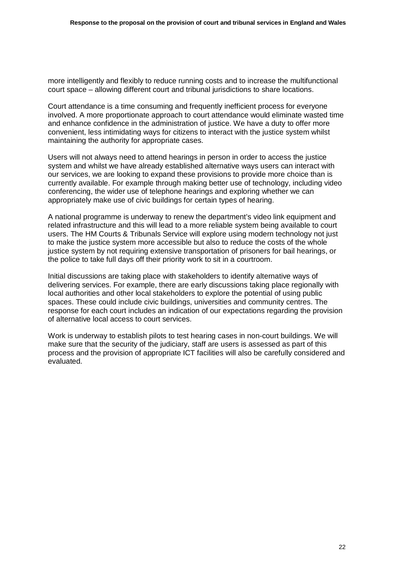more intelligently and flexibly to reduce running costs and to increase the multifunctional court space – allowing different court and tribunal jurisdictions to share locations.

Court attendance is a time consuming and frequently inefficient process for everyone involved. A more proportionate approach to court attendance would eliminate wasted time and enhance confidence in the administration of justice. We have a duty to offer more convenient, less intimidating ways for citizens to interact with the justice system whilst maintaining the authority for appropriate cases.

Users will not always need to attend hearings in person in order to access the justice system and whilst we have already established alternative ways users can interact with our services, we are looking to expand these provisions to provide more choice than is currently available. For example through making better use of technology, including video conferencing, the wider use of telephone hearings and exploring whether we can appropriately make use of civic buildings for certain types of hearing.

A national programme is underway to renew the department's video link equipment and related infrastructure and this will lead to a more reliable system being available to court users. The HM Courts & Tribunals Service will explore using modern technology not just to make the justice system more accessible but also to reduce the costs of the whole justice system by not requiring extensive transportation of prisoners for bail hearings, or the police to take full days off their priority work to sit in a courtroom.

Initial discussions are taking place with stakeholders to identify alternative ways of delivering services. For example, there are early discussions taking place regionally with local authorities and other local stakeholders to explore the potential of using public spaces. These could include civic buildings, universities and community centres. The response for each court includes an indication of our expectations regarding the provision of alternative local access to court services.

Work is underway to establish pilots to test hearing cases in non-court buildings. We will make sure that the security of the judiciary, staff are users is assessed as part of this process and the provision of appropriate ICT facilities will also be carefully considered and evaluated.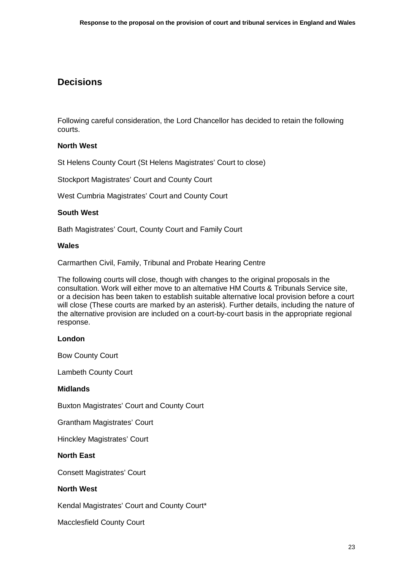# **Decisions**

Following careful consideration, the Lord Chancellor has decided to retain the following courts.

#### **North West**

St Helens County Court (St Helens Magistrates' Court to close)

Stockport Magistrates' Court and County Court

West Cumbria Magistrates' Court and County Court

#### **South West**

Bath Magistrates' Court, County Court and Family Court

#### **Wales**

Carmarthen Civil, Family, Tribunal and Probate Hearing Centre

The following courts will close, though with changes to the original proposals in the consultation. Work will either move to an alternative HM Courts & Tribunals Service site, or a decision has been taken to establish suitable alternative local provision before a court will close (These courts are marked by an asterisk). Further details, including the nature of the alternative provision are included on a court-by-court basis in the appropriate regional response.

#### **London**

Bow County Court

Lambeth County Court

#### **Midlands**

Buxton Magistrates' Court and County Court

Grantham Magistrates' Court

Hinckley Magistrates' Court

#### **North East**

Consett Magistrates' Court

#### **North West**

Kendal Magistrates' Court and County Court\*

Macclesfield County Court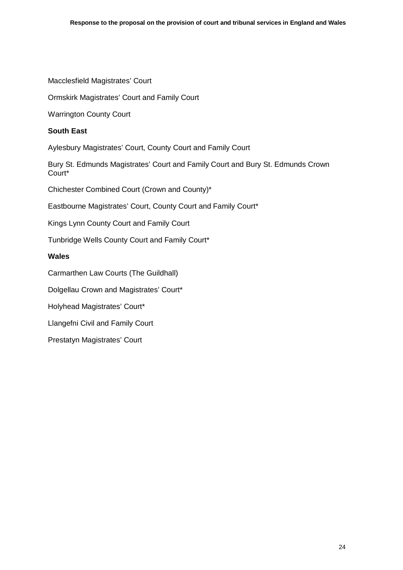Macclesfield Magistrates' Court

Ormskirk Magistrates' Court and Family Court

Warrington County Court

#### **South East**

Aylesbury Magistrates' Court, County Court and Family Court

Bury St. Edmunds Magistrates' Court and Family Court and Bury St. Edmunds Crown Court\*

Chichester Combined Court (Crown and County)\*

Eastbourne Magistrates' Court, County Court and Family Court\*

Kings Lynn County Court and Family Court

Tunbridge Wells County Court and Family Court\*

#### **Wales**

Carmarthen Law Courts (The Guildhall)

Dolgellau Crown and Magistrates' Court\*

Holyhead Magistrates' Court\*

Llangefni Civil and Family Court

Prestatyn Magistrates' Court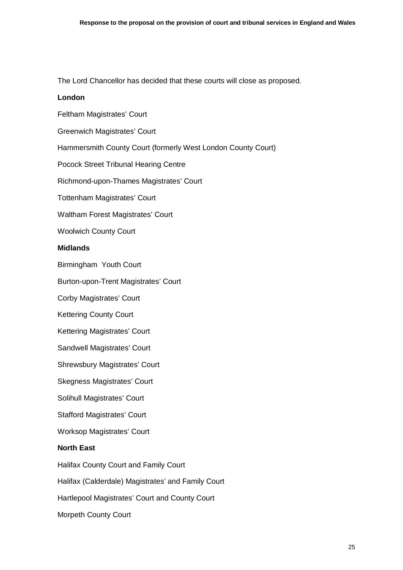The Lord Chancellor has decided that these courts will close as proposed.

#### **London**

Feltham Magistrates' Court

Greenwich Magistrates' Court

Hammersmith County Court (formerly West London County Court)

Pocock Street Tribunal Hearing Centre

Richmond-upon-Thames Magistrates' Court

Tottenham Magistrates' Court

Waltham Forest Magistrates' Court

Woolwich County Court

#### **Midlands**

Birmingham Youth Court

Burton-upon-Trent Magistrates' Court

Corby Magistrates' Court

Kettering County Court

Kettering Magistrates' Court

Sandwell Magistrates' Court

Shrewsbury Magistrates' Court

Skegness Magistrates' Court

Solihull Magistrates' Court

Stafford Magistrates' Court

Worksop Magistrates' Court

#### **North East**

Halifax County Court and Family Court

Halifax (Calderdale) Magistrates' and Family Court

Hartlepool Magistrates' Court and County Court

Morpeth County Court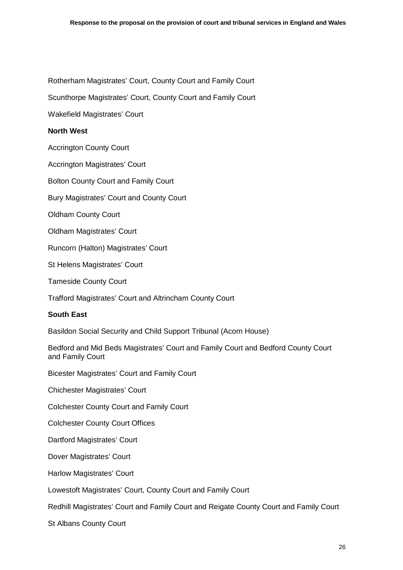Rotherham Magistrates' Court, County Court and Family Court

Scunthorpe Magistrates' Court, County Court and Family Court

Wakefield Magistrates' Court

#### **North West**

Accrington County Court

Accrington Magistrates' Court

Bolton County Court and Family Court

Bury Magistrates' Court and County Court

Oldham County Court

Oldham Magistrates' Court

Runcorn (Halton) Magistrates' Court

St Helens Magistrates' Court

Tameside County Court

Trafford Magistrates' Court and Altrincham County Court

#### **South East**

Basildon Social Security and Child Support Tribunal (Acorn House)

Bedford and Mid Beds Magistrates' Court and Family Court and Bedford County Court and Family Court

Bicester Magistrates' Court and Family Court

Chichester Magistrates' Court

Colchester County Court and Family Court

Colchester County Court Offices

Dartford Magistrates' Court

Dover Magistrates' Court

Harlow Magistrates' Court

Lowestoft Magistrates' Court, County Court and Family Court

Redhill Magistrates' Court and Family Court and Reigate County Court and Family Court

St Albans County Court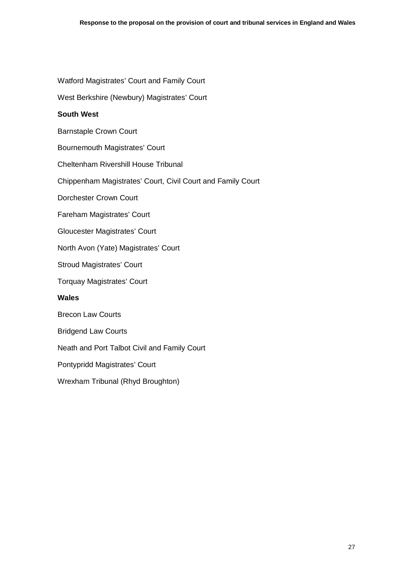Watford Magistrates' Court and Family Court

West Berkshire (Newbury) Magistrates' Court

#### **South West**

Barnstaple Crown Court

Bournemouth Magistrates' Court

Cheltenham Rivershill House Tribunal

Chippenham Magistrates' Court, Civil Court and Family Court

Dorchester Crown Court

Fareham Magistrates' Court

Gloucester Magistrates' Court

North Avon (Yate) Magistrates' Court

Stroud Magistrates' Court

Torquay Magistrates' Court

#### **Wales**

Brecon Law Courts

Bridgend Law Courts

Neath and Port Talbot Civil and Family Court

Pontypridd Magistrates' Court

Wrexham Tribunal (Rhyd Broughton)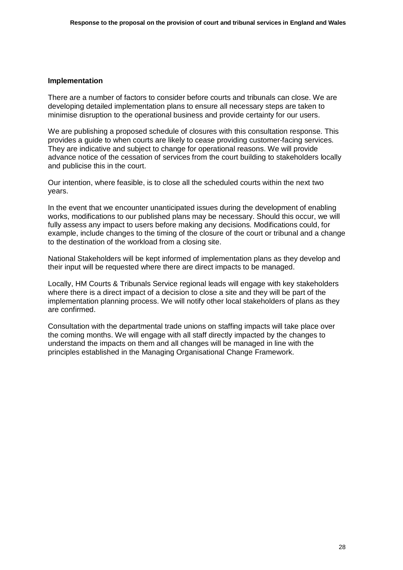#### **Implementation**

There are a number of factors to consider before courts and tribunals can close. We are developing detailed implementation plans to ensure all necessary steps are taken to minimise disruption to the operational business and provide certainty for our users.

We are publishing a proposed schedule of closures with this consultation response. This provides a guide to when courts are likely to cease providing customer-facing services. They are indicative and subject to change for operational reasons. We will provide advance notice of the cessation of services from the court building to stakeholders locally and publicise this in the court.

Our intention, where feasible, is to close all the scheduled courts within the next two years.

In the event that we encounter unanticipated issues during the development of enabling works, modifications to our published plans may be necessary. Should this occur, we will fully assess any impact to users before making any decisions. Modifications could, for example, include changes to the timing of the closure of the court or tribunal and a change to the destination of the workload from a closing site.

National Stakeholders will be kept informed of implementation plans as they develop and their input will be requested where there are direct impacts to be managed.

Locally, HM Courts & Tribunals Service regional leads will engage with key stakeholders where there is a direct impact of a decision to close a site and they will be part of the implementation planning process. We will notify other local stakeholders of plans as they are confirmed.

Consultation with the departmental trade unions on staffing impacts will take place over the coming months. We will engage with all staff directly impacted by the changes to understand the impacts on them and all changes will be managed in line with the principles established in the Managing Organisational Change Framework.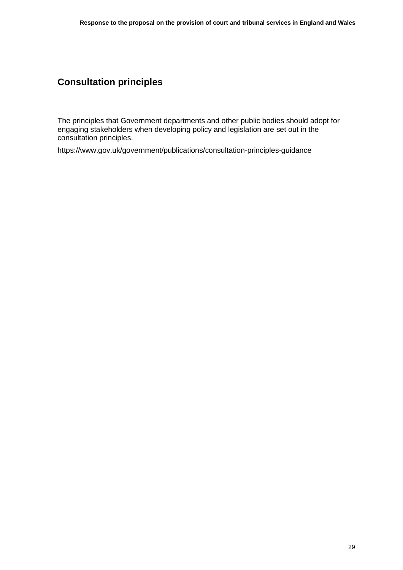# **Consultation principles**

The principles that Government departments and other public bodies should adopt for engaging stakeholders when developing policy and legislation are set out in the consultation principles.

https://www.gov.uk/government/publications/consultation-principles-guidance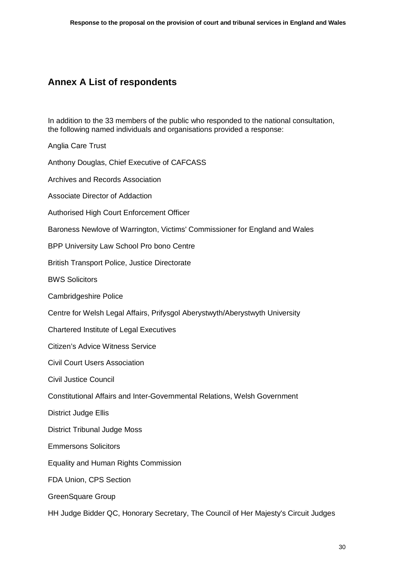# **Annex A List of respondents**

In addition to the 33 members of the public who responded to the national consultation, the following named individuals and organisations provided a response:

Anglia Care Trust

Anthony Douglas, Chief Executive of CAFCASS

Archives and Records Association

Associate Director of Addaction

Authorised High Court Enforcement Officer

Baroness Newlove of Warrington, Victims' Commissioner for England and Wales

BPP University Law School Pro bono Centre

British Transport Police, Justice Directorate

BWS Solicitors

Cambridgeshire Police

Centre for Welsh Legal Affairs, Prifysgol Aberystwyth/Aberystwyth University

Chartered Institute of Legal Executives

Citizen's Advice Witness Service

Civil Court Users Association

Civil Justice Council

Constitutional Affairs and Inter-Governmental Relations, Welsh Government

District Judge Ellis

District Tribunal Judge Moss

Emmersons Solicitors

Equality and Human Rights Commission

FDA Union, CPS Section

GreenSquare Group

HH Judge Bidder QC, Honorary Secretary, The Council of Her Majesty's Circuit Judges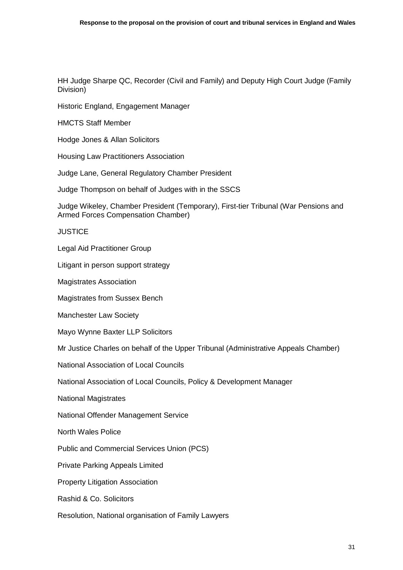HH Judge Sharpe QC, Recorder (Civil and Family) and Deputy High Court Judge (Family Division)

Historic England, Engagement Manager

HMCTS Staff Member

Hodge Jones & Allan Solicitors

Housing Law Practitioners Association

Judge Lane, General Regulatory Chamber President

Judge Thompson on behalf of Judges with in the SSCS

Judge Wikeley, Chamber President (Temporary), First-tier Tribunal (War Pensions and Armed Forces Compensation Chamber)

**JUSTICE** 

Legal Aid Practitioner Group

Litigant in person support strategy

Magistrates Association

Magistrates from Sussex Bench

Manchester Law Society

Mayo Wynne Baxter LLP Solicitors

Mr Justice Charles on behalf of the Upper Tribunal (Administrative Appeals Chamber)

National Association of Local Councils

National Association of Local Councils, Policy & Development Manager

National Magistrates

National Offender Management Service

North Wales Police

Public and Commercial Services Union (PCS)

Private Parking Appeals Limited

Property Litigation Association

Rashid & Co. Solicitors

Resolution, National organisation of Family Lawyers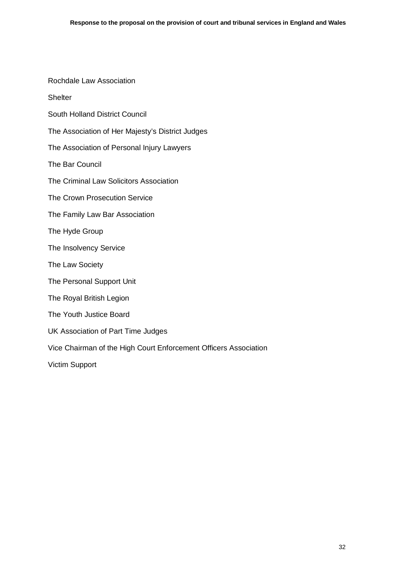Rochdale Law Association

**Shelter** 

- South Holland District Council
- The Association of Her Majesty's District Judges
- The Association of Personal Injury Lawyers
- The Bar Council
- The Criminal Law Solicitors Association
- The Crown Prosecution Service
- The Family Law Bar Association
- The Hyde Group
- The Insolvency Service
- The Law Society
- The Personal Support Unit
- The Royal British Legion
- The Youth Justice Board
- UK Association of Part Time Judges
- Vice Chairman of the High Court Enforcement Officers Association

Victim Support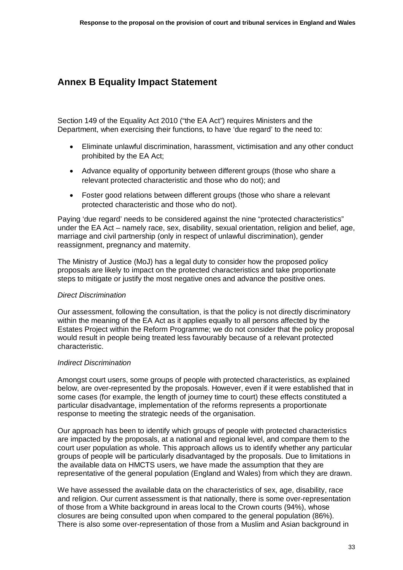# **Annex B Equality Impact Statement**

Section 149 of the Equality Act 2010 ("the EA Act") requires Ministers and the Department, when exercising their functions, to have 'due regard' to the need to:

- Eliminate unlawful discrimination, harassment, victimisation and any other conduct prohibited by the EA Act;
- Advance equality of opportunity between different groups (those who share a relevant protected characteristic and those who do not); and
- Foster good relations between different groups (those who share a relevant protected characteristic and those who do not).

Paying 'due regard' needs to be considered against the nine "protected characteristics" under the EA Act – namely race, sex, disability, sexual orientation, religion and belief, age, marriage and civil partnership (only in respect of unlawful discrimination), gender reassignment, pregnancy and maternity.

The Ministry of Justice (MoJ) has a legal duty to consider how the proposed policy proposals are likely to impact on the protected characteristics and take proportionate steps to mitigate or justify the most negative ones and advance the positive ones.

#### *Direct Discrimination*

Our assessment, following the consultation, is that the policy is not directly discriminatory within the meaning of the EA Act as it applies equally to all persons affected by the Estates Project within the Reform Programme; we do not consider that the policy proposal would result in people being treated less favourably because of a relevant protected characteristic.

#### *Indirect Discrimination*

Amongst court users, some groups of people with protected characteristics, as explained below, are over-represented by the proposals. However, even if it were established that in some cases (for example, the length of journey time to court) these effects constituted a particular disadvantage, implementation of the reforms represents a proportionate response to meeting the strategic needs of the organisation.

Our approach has been to identify which groups of people with protected characteristics are impacted by the proposals, at a national and regional level, and compare them to the court user population as whole. This approach allows us to identify whether any particular groups of people will be particularly disadvantaged by the proposals. Due to limitations in the available data on HMCTS users, we have made the assumption that they are representative of the general population (England and Wales) from which they are drawn.

We have assessed the available data on the characteristics of sex, age, disability, race and religion. Our current assessment is that nationally, there is some over-representation of those from a White background in areas local to the Crown courts (94%), whose closures are being consulted upon when compared to the general population (86%). There is also some over-representation of those from a Muslim and Asian background in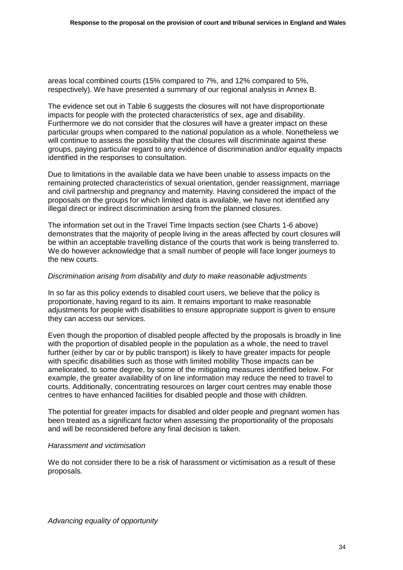areas local combined courts (15% compared to 7%, and 12% compared to 5%, respectively). We have presented a summary of our regional analysis in Annex B.

The evidence set out in Table 6 suggests the closures will not have disproportionate impacts for people with the protected characteristics of sex, age and disability. Furthermore we do not consider that the closures will have a greater impact on these particular groups when compared to the national population as a whole. Nonetheless we will continue to assess the possibility that the closures will discriminate against these groups, paying particular regard to any evidence of discrimination and/or equality impacts identified in the responses to consultation.

Due to limitations in the available data we have been unable to assess impacts on the remaining protected characteristics of sexual orientation, gender reassignment, marriage and civil partnership and pregnancy and maternity. Having considered the impact of the proposals on the groups for which limited data is available, we have not identified any illegal direct or indirect discrimination arsing from the planned closures.

The information set out in the Travel Time Impacts section (see Charts 1-6 above) demonstrates that the majority of people living in the areas affected by court closures will be within an acceptable travelling distance of the courts that work is being transferred to. We do however acknowledge that a small number of people will face longer journeys to the new courts.

#### *Discrimination arising from disability and duty to make reasonable adjustments*

In so far as this policy extends to disabled court users, we believe that the policy is proportionate, having regard to its aim. It remains important to make reasonable adjustments for people with disabilities to ensure appropriate support is given to ensure they can access our services.

Even though the proportion of disabled people affected by the proposals is broadly in line with the proportion of disabled people in the population as a whole, the need to travel further (either by car or by public transport) is likely to have greater impacts for people with specific disabilities such as those with limited mobility Those impacts can be ameliorated, to some degree, by some of the mitigating measures identified below. For example, the greater availability of on line information may reduce the need to travel to courts. Additionally, concentrating resources on larger court centres may enable those centres to have enhanced facilities for disabled people and those with children.

The potential for greater impacts for disabled and older people and pregnant women has been treated as a significant factor when assessing the proportionality of the proposals and will be reconsidered before any final decision is taken.

#### *Harassment and victimisation*

We do not consider there to be a risk of harassment or victimisation as a result of these proposals.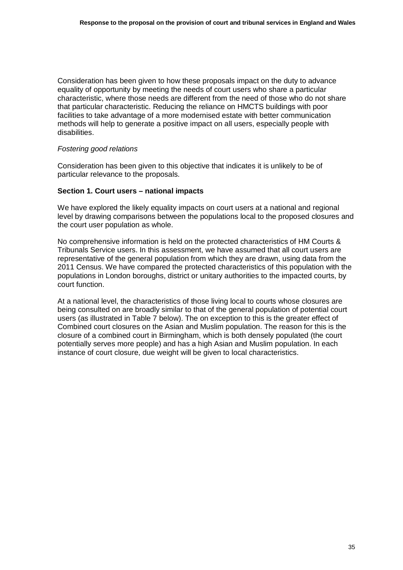Consideration has been given to how these proposals impact on the duty to advance equality of opportunity by meeting the needs of court users who share a particular characteristic, where those needs are different from the need of those who do not share that particular characteristic. Reducing the reliance on HMCTS buildings with poor facilities to take advantage of a more modernised estate with better communication methods will help to generate a positive impact on all users, especially people with disabilities.

#### *Fostering good relations*

Consideration has been given to this objective that indicates it is unlikely to be of particular relevance to the proposals.

#### **Section 1. Court users – national impacts**

We have explored the likely equality impacts on court users at a national and regional level by drawing comparisons between the populations local to the proposed closures and the court user population as whole.

No comprehensive information is held on the protected characteristics of HM Courts & Tribunals Service users. In this assessment, we have assumed that all court users are representative of the general population from which they are drawn, using data from the 2011 Census. We have compared the protected characteristics of this population with the populations in London boroughs, district or unitary authorities to the impacted courts, by court function.

At a national level, the characteristics of those living local to courts whose closures are being consulted on are broadly similar to that of the general population of potential court users (as illustrated in Table 7 below). The on exception to this is the greater effect of Combined court closures on the Asian and Muslim population. The reason for this is the closure of a combined court in Birmingham, which is both densely populated (the court potentially serves more people) and has a high Asian and Muslim population. In each instance of court closure, due weight will be given to local characteristics.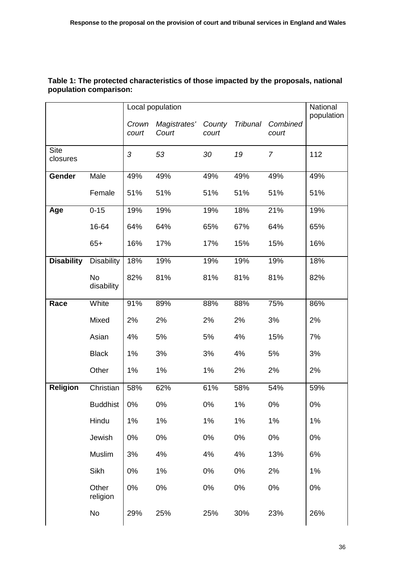|                         |                         |                | Local population      |                 |          |                   | National<br>population |
|-------------------------|-------------------------|----------------|-----------------------|-----------------|----------|-------------------|------------------------|
|                         |                         | Crown<br>court | Magistrates'<br>Court | County<br>court | Tribunal | Combined<br>court |                        |
| <b>Site</b><br>closures |                         | 3              | 53                    | 30              | 19       | $\overline{7}$    | 112                    |
| Gender                  | Male                    | 49%            | 49%                   | 49%             | 49%      | 49%               | 49%                    |
|                         | Female                  | 51%            | 51%                   | 51%             | 51%      | 51%               | 51%                    |
| Age                     | $0 - 15$                | 19%            | 19%                   | 19%             | 18%      | 21%               | 19%                    |
|                         | 16-64                   | 64%            | 64%                   | 65%             | 67%      | 64%               | 65%                    |
|                         | $65+$                   | 16%            | 17%                   | 17%             | 15%      | 15%               | 16%                    |
| <b>Disability</b>       | <b>Disability</b>       | 18%            | 19%                   | 19%             | 19%      | 19%               | 18%                    |
|                         | <b>No</b><br>disability | 82%            | 81%                   | 81%             | 81%      | 81%               | 82%                    |
| Race                    | White                   | 91%            | 89%                   | 88%             | 88%      | 75%               | 86%                    |
|                         | Mixed                   | 2%             | 2%                    | 2%              | 2%       | 3%                | 2%                     |
|                         | Asian                   | 4%             | 5%                    | 5%              | 4%       | 15%               | 7%                     |
|                         | <b>Black</b>            | 1%             | 3%                    | 3%              | 4%       | 5%                | 3%                     |
|                         | Other                   | 1%             | 1%                    | 1%              | 2%       | 2%                | 2%                     |
| <b>Religion</b>         | Christian               | 58%            | 62%                   | 61%             | 58%      | 54%               | 59%                    |
|                         | <b>Buddhist</b>         | 0%             | 0%                    | $0\%$           | 1%       | 0%                | 0%                     |
|                         | Hindu                   | 1%             | 1%                    | 1%              | 1%       | 1%                | 1%                     |
|                         | Jewish                  | 0%             | 0%                    | 0%              | 0%       | 0%                | 0%                     |
|                         | Muslim                  | 3%             | 4%                    | 4%              | 4%       | 13%               | 6%                     |
|                         | Sikh                    | 0%             | 1%                    | 0%              | 0%       | 2%                | 1%                     |
|                         | Other<br>religion       | 0%             | 0%                    | 0%              | $0\%$    | $0\%$             | 0%                     |
|                         | No                      | 29%            | 25%                   | 25%             | 30%      | 23%               | 26%                    |

#### **Table 1: The protected characteristics of those impacted by the proposals, national population comparison:**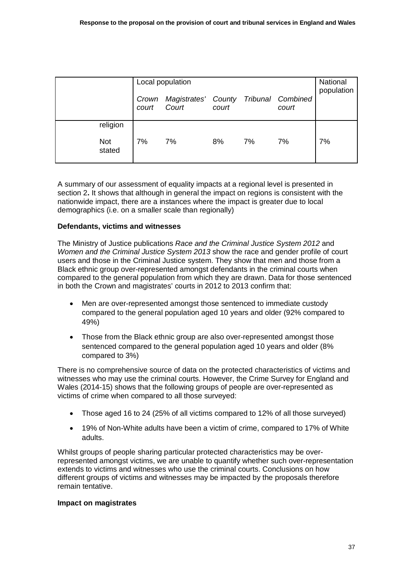|                                  | Crown<br>court | Local population<br>Magistrates' County Tribunal<br>Court | court |    | Combined<br>court | National<br>population |
|----------------------------------|----------------|-----------------------------------------------------------|-------|----|-------------------|------------------------|
| religion<br><b>Not</b><br>stated | 7%             | 7%                                                        | 8%    | 7% | 7%                | 7%                     |

A summary of our assessment of equality impacts at a regional level is presented in section 2**.** It shows that although in general the impact on regions is consistent with the nationwide impact, there are a instances where the impact is greater due to local demographics (i.e. on a smaller scale than regionally)

#### **Defendants, victims and witnesses**

The Ministry of Justice publications *Race and the Criminal Justice System 2012* and *Women and the Criminal Justice System 2013* show the race and gender profile of court users and those in the Criminal Justice system. They show that men and those from a Black ethnic group over-represented amongst defendants in the criminal courts when compared to the general population from which they are drawn. Data for those sentenced in both the Crown and magistrates' courts in 2012 to 2013 confirm that:

- Men are over-represented amongst those sentenced to immediate custody compared to the general population aged 10 years and older (92% compared to 49%)
- Those from the Black ethnic group are also over-represented amongst those sentenced compared to the general population aged 10 years and older (8% compared to 3%)

There is no comprehensive source of data on the protected characteristics of victims and witnesses who may use the criminal courts. However, the Crime Survey for England and Wales (2014-15) shows that the following groups of people are over-represented as victims of crime when compared to all those surveyed:

- Those aged 16 to 24 (25% of all victims compared to 12% of all those surveyed)
- 19% of Non-White adults have been a victim of crime, compared to 17% of White adults.

Whilst groups of people sharing particular protected characteristics may be overrepresented amongst victims, we are unable to quantify whether such over-representation extends to victims and witnesses who use the criminal courts. Conclusions on how different groups of victims and witnesses may be impacted by the proposals therefore remain tentative.

#### **Impact on magistrates**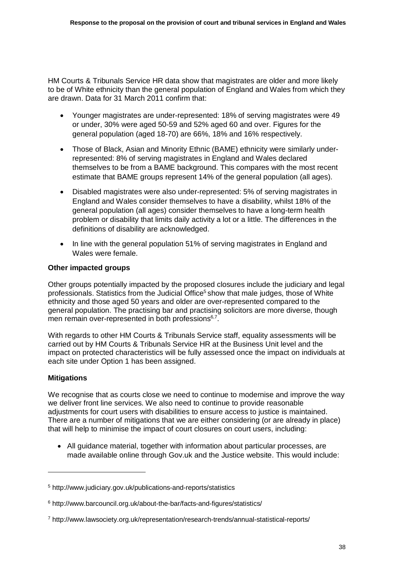HM Courts & Tribunals Service HR data show that magistrates are older and more likely to be of White ethnicity than the general population of England and Wales from which they are drawn. Data for 31 March 2011 confirm that:

- Younger magistrates are under-represented: 18% of serving magistrates were 49 or under, 30% were aged 50-59 and 52% aged 60 and over. Figures for the general population (aged 18-70) are 66%, 18% and 16% respectively.
- Those of Black, Asian and Minority Ethnic (BAME) ethnicity were similarly underrepresented: 8% of serving magistrates in England and Wales declared themselves to be from a BAME background. This compares with the most recent estimate that BAME groups represent 14% of the general population (all ages).
- Disabled magistrates were also under-represented: 5% of serving magistrates in England and Wales consider themselves to have a disability, whilst 18% of the general population (all ages) consider themselves to have a long-term health problem or disability that limits daily activity a lot or a little. The differences in the definitions of disability are acknowledged.
- In line with the general population 51% of serving magistrates in England and Wales were female.

#### **Other impacted groups**

Other groups potentially impacted by the proposed closures include the judiciary and legal professionals. Statistics from the Judicial Office<sup>5</sup> show that male judges, those of White ethnicity and those aged 50 years and older are over-represented compared to the general population. The practising bar and practising solicitors are more diverse, though men remain over-represented in both professions<sup>6,7</sup>.

With regards to other HM Courts & Tribunals Service staff, equality assessments will be carried out by HM Courts & Tribunals Service HR at the Business Unit level and the impact on protected characteristics will be fully assessed once the impact on individuals at each site under Option 1 has been assigned.

#### **Mitigations**

1

We recognise that as courts close we need to continue to modernise and improve the way we deliver front line services. We also need to continue to provide reasonable adjustments for court users with disabilities to ensure access to justice is maintained. There are a number of mitigations that we are either considering (or are already in place) that will help to minimise the impact of court closures on court users, including:

 All guidance material, together with information about particular processes, are made available online through Gov.uk and the Justice website. This would include:

<sup>5</sup> http://www.judiciary.gov.uk/publications-and-reports/statistics

<sup>6</sup> http://www.barcouncil.org.uk/about-the-bar/facts-and-figures/statistics/

<sup>7</sup> http://www.lawsociety.org.uk/representation/research-trends/annual-statistical-reports/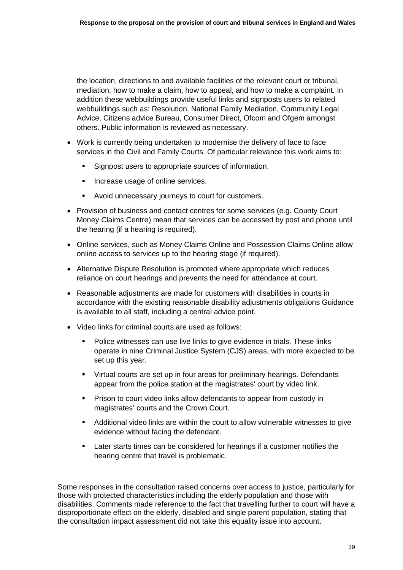the location, directions to and available facilities of the relevant court or tribunal, mediation, how to make a claim, how to appeal, and how to make a complaint. In addition these webbuildings provide useful links and signposts users to related webbuildings such as: Resolution, National Family Mediation, Community Legal Advice, Citizens advice Bureau, Consumer Direct, Ofcom and Ofgem amongst others. Public information is reviewed as necessary.

- Work is currently being undertaken to modernise the delivery of face to face services in the Civil and Family Courts. Of particular relevance this work aims to:
	- **Signpost users to appropriate sources of information.**
	- **Increase usage of online services.**
	- Avoid unnecessary journeys to court for customers.
- Provision of business and contact centres for some services (e.g. County Court Money Claims Centre) mean that services can be accessed by post and phone until the hearing (if a hearing is required).
- Online services, such as Money Claims Online and Possession Claims Online allow online access to services up to the hearing stage (if required).
- Alternative Dispute Resolution is promoted where appropriate which reduces reliance on court hearings and prevents the need for attendance at court.
- Reasonable adjustments are made for customers with disabilities in courts in accordance with the existing reasonable disability adjustments obligations Guidance is available to all staff, including a central advice point.
- Video links for criminal courts are used as follows:
	- **Police witnesses can use live links to give evidence in trials. These links** operate in nine Criminal Justice System (CJS) areas, with more expected to be set up this year.
	- Virtual courts are set up in four areas for preliminary hearings. Defendants appear from the police station at the magistrates' court by video link.
	- **Prison to court video links allow defendants to appear from custody in** magistrates' courts and the Crown Court.
	- Additional video links are within the court to allow vulnerable witnesses to give evidence without facing the defendant.
	- Later starts times can be considered for hearings if a customer notifies the hearing centre that travel is problematic.

Some responses in the consultation raised concerns over access to justice, particularly for those with protected characteristics including the elderly population and those with disabilities. Comments made reference to the fact that travelling further to court will have a disproportionate effect on the elderly, disabled and single parent population, stating that the consultation impact assessment did not take this equality issue into account.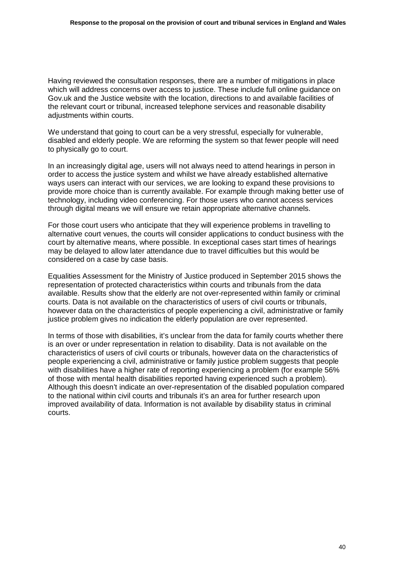Having reviewed the consultation responses, there are a number of mitigations in place which will address concerns over access to justice. These include full online guidance on Gov.uk and the Justice website with the location, directions to and available facilities of the relevant court or tribunal, increased telephone services and reasonable disability adjustments within courts.

We understand that going to court can be a very stressful, especially for vulnerable, disabled and elderly people. We are reforming the system so that fewer people will need to physically go to court.

In an increasingly digital age, users will not always need to attend hearings in person in order to access the justice system and whilst we have already established alternative ways users can interact with our services, we are looking to expand these provisions to provide more choice than is currently available. For example through making better use of technology, including video conferencing. For those users who cannot access services through digital means we will ensure we retain appropriate alternative channels.

For those court users who anticipate that they will experience problems in travelling to alternative court venues, the courts will consider applications to conduct business with the court by alternative means, where possible. In exceptional cases start times of hearings may be delayed to allow later attendance due to travel difficulties but this would be considered on a case by case basis.

Equalities Assessment for the Ministry of Justice produced in September 2015 shows the representation of protected characteristics within courts and tribunals from the data available. Results show that the elderly are not over-represented within family or criminal courts. Data is not available on the characteristics of users of civil courts or tribunals, however data on the characteristics of people experiencing a civil, administrative or family justice problem gives no indication the elderly population are over represented.

In terms of those with disabilities, it's unclear from the data for family courts whether there is an over or under representation in relation to disability. Data is not available on the characteristics of users of civil courts or tribunals, however data on the characteristics of people experiencing a civil, administrative or family justice problem suggests that people with disabilities have a higher rate of reporting experiencing a problem (for example 56% of those with mental health disabilities reported having experienced such a problem). Although this doesn't indicate an over-representation of the disabled population compared to the national within civil courts and tribunals it's an area for further research upon improved availability of data. Information is not available by disability status in criminal courts.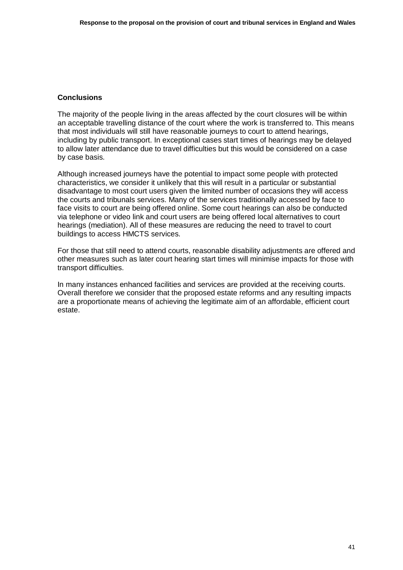#### **Conclusions**

The majority of the people living in the areas affected by the court closures will be within an acceptable travelling distance of the court where the work is transferred to. This means that most individuals will still have reasonable journeys to court to attend hearings, including by public transport. In exceptional cases start times of hearings may be delayed to allow later attendance due to travel difficulties but this would be considered on a case by case basis.

Although increased journeys have the potential to impact some people with protected characteristics, we consider it unlikely that this will result in a particular or substantial disadvantage to most court users given the limited number of occasions they will access the courts and tribunals services. Many of the services traditionally accessed by face to face visits to court are being offered online. Some court hearings can also be conducted via telephone or video link and court users are being offered local alternatives to court hearings (mediation). All of these measures are reducing the need to travel to court buildings to access HMCTS services.

For those that still need to attend courts, reasonable disability adjustments are offered and other measures such as later court hearing start times will minimise impacts for those with transport difficulties.

In many instances enhanced facilities and services are provided at the receiving courts. Overall therefore we consider that the proposed estate reforms and any resulting impacts are a proportionate means of achieving the legitimate aim of an affordable, efficient court estate.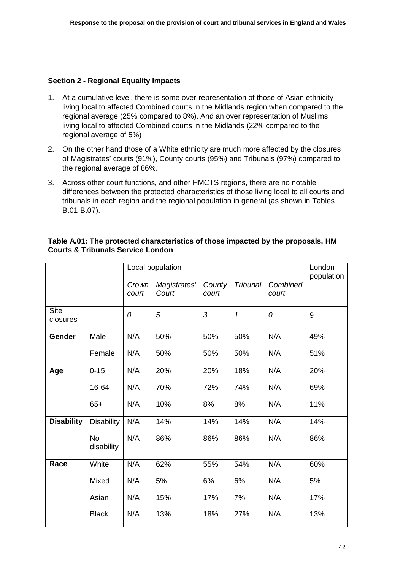#### **Section 2 - Regional Equality Impacts**

- 1. At a cumulative level, there is some over-representation of those of Asian ethnicity living local to affected Combined courts in the Midlands region when compared to the regional average (25% compared to 8%). And an over representation of Muslims living local to affected Combined courts in the Midlands (22% compared to the regional average of 5%)
- 2. On the other hand those of a White ethnicity are much more affected by the closures of Magistrates' courts (91%), County courts (95%) and Tribunals (97%) compared to the regional average of 86%.
- 3. Across other court functions, and other HMCTS regions, there are no notable differences between the protected characteristics of those living local to all courts and tribunals in each region and the regional population in general (as shown in Tables B.01-B.07).

|                         |                         |                | Local population      |                 |                 |                   | London<br>population |
|-------------------------|-------------------------|----------------|-----------------------|-----------------|-----------------|-------------------|----------------------|
|                         |                         | Crown<br>court | Magistrates'<br>Court | County<br>court | <b>Tribunal</b> | Combined<br>court |                      |
| <b>Site</b><br>closures |                         | 0              | 5                     | 3               | 1               | 0                 | 9                    |
| Gender                  | Male                    | N/A            | 50%                   | 50%             | 50%             | N/A               | 49%                  |
|                         | Female                  | N/A            | 50%                   | 50%             | 50%             | N/A               | 51%                  |
| Age                     | $0 - 15$                | N/A            | 20%                   | 20%             | 18%             | N/A               | 20%                  |
|                         | 16-64                   | N/A            | 70%                   | 72%             | 74%             | N/A               | 69%                  |
|                         | $65+$                   | N/A            | 10%                   | 8%              | 8%              | N/A               | 11%                  |
| <b>Disability</b>       | <b>Disability</b>       | N/A            | 14%                   | 14%             | 14%             | N/A               | 14%                  |
|                         | <b>No</b><br>disability | N/A            | 86%                   | 86%             | 86%             | N/A               | 86%                  |
| Race                    | White                   | N/A            | 62%                   | 55%             | 54%             | N/A               | 60%                  |
|                         | Mixed                   | N/A            | 5%                    | 6%              | 6%              | N/A               | 5%                   |
|                         | Asian                   | N/A            | 15%                   | 17%             | 7%              | N/A               | 17%                  |
|                         | <b>Black</b>            | N/A            | 13%                   | 18%             | 27%             | N/A               | 13%                  |

#### **Table A.01: The protected characteristics of those impacted by the proposals, HM Courts & Tribunals Service London**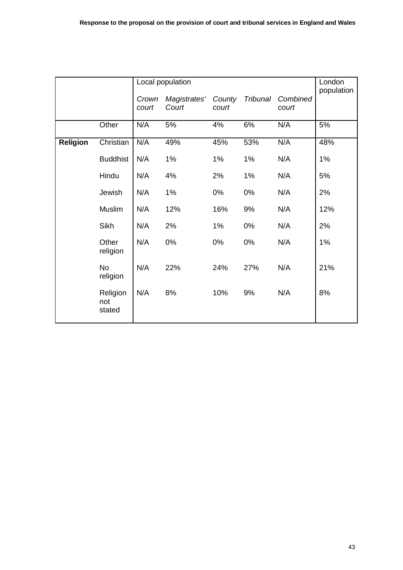|                 |                           |                | Local population      |                 |          |                   | London<br>population |
|-----------------|---------------------------|----------------|-----------------------|-----------------|----------|-------------------|----------------------|
|                 |                           | Crown<br>court | Magistrates'<br>Court | County<br>court | Tribunal | Combined<br>court |                      |
|                 | Other                     | N/A            | 5%                    | 4%              | 6%       | N/A               | 5%                   |
| <b>Religion</b> | Christian                 | N/A            | 49%                   | 45%             | 53%      | N/A               | 48%                  |
|                 | <b>Buddhist</b>           | N/A            | 1%                    | 1%              | 1%       | N/A               | 1%                   |
|                 | Hindu                     | N/A            | 4%                    | 2%              | 1%       | N/A               | 5%                   |
|                 | Jewish                    | N/A            | 1%                    | 0%              | 0%       | N/A               | 2%                   |
|                 | Muslim                    | N/A            | 12%                   | 16%             | 9%       | N/A               | 12%                  |
|                 | Sikh                      | N/A            | 2%                    | 1%              | 0%       | N/A               | 2%                   |
|                 | Other<br>religion         | N/A            | 0%                    | 0%              | 0%       | N/A               | 1%                   |
|                 | <b>No</b><br>religion     | N/A            | 22%                   | 24%             | 27%      | N/A               | 21%                  |
|                 | Religion<br>not<br>stated | N/A            | 8%                    | 10%             | 9%       | N/A               | 8%                   |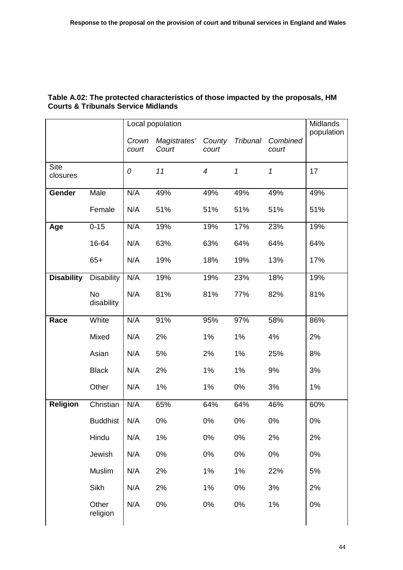#### **Table A.02: The protected characteristics of those impacted by the proposals, HM Courts & Tribunals Service Midlands**

|                         |                         |                | Local population      |                 |              |                   | Midlands   |
|-------------------------|-------------------------|----------------|-----------------------|-----------------|--------------|-------------------|------------|
|                         |                         | Crown<br>court | Magistrates'<br>Court | County<br>court | Tribunal     | Combined<br>court | population |
| <b>Site</b><br>closures |                         | 0              | 11                    | $\overline{4}$  | $\mathcal I$ | $\mathcal I$      | 17         |
| Gender                  | Male                    | N/A            | 49%                   | 49%             | 49%          | 49%               | 49%        |
|                         | Female                  | N/A            | 51%                   | 51%             | 51%          | 51%               | 51%        |
| Age                     | $0 - 15$                | N/A            | 19%                   | 19%             | 17%          | 23%               | 19%        |
|                         | 16-64                   | N/A            | 63%                   | 63%             | 64%          | 64%               | 64%        |
|                         | $65+$                   | N/A            | 19%                   | 18%             | 19%          | 13%               | 17%        |
| <b>Disability</b>       | <b>Disability</b>       | N/A            | 19%                   | 19%             | 23%          | 18%               | 19%        |
|                         | <b>No</b><br>disability | N/A            | 81%                   | 81%             | 77%          | 82%               | 81%        |
| Race                    | White                   | N/A            | 91%                   | 95%             | 97%          | 58%               | 86%        |
|                         | Mixed                   | N/A            | 2%                    | 1%              | 1%           | 4%                | 2%         |
|                         | Asian                   | N/A            | 5%                    | 2%              | 1%           | 25%               | 8%         |
|                         | <b>Black</b>            | N/A            | 2%                    | 1%              | 1%           | 9%                | 3%         |
|                         | Other                   | N/A            | 1%                    | 1%              | 0%           | 3%                | 1%         |
| <b>Religion</b>         | Christian               | N/A            | 65%                   | 64%             | 64%          | 46%               | 60%        |
|                         | <b>Buddhist</b>         | N/A            | 0%                    | $0\%$           | $0\%$        | $0\%$             | $0\%$      |
|                         | Hindu                   | N/A            | 1%                    | $0\%$           | 0%           | 2%                | 2%         |
|                         | Jewish                  | N/A            | 0%                    | $0\%$           | 0%           | $0\%$             | 0%         |
|                         | Muslim                  | N/A            | 2%                    | 1%              | 1%           | 22%               | 5%         |
|                         | Sikh                    | N/A            | 2%                    | 1%              | 0%           | 3%                | 2%         |
|                         | Other<br>religion       | N/A            | $0\%$                 | $0\%$           | 0%           | 1%                | $0\%$      |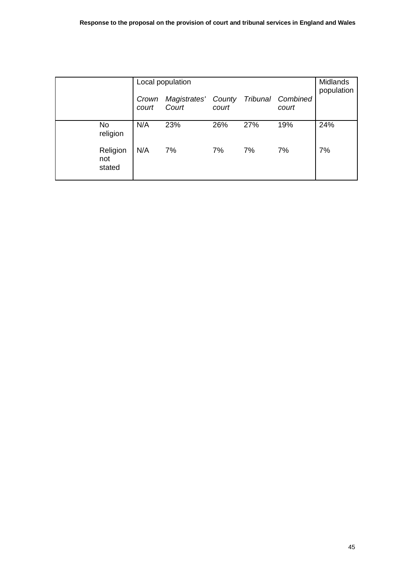|                           | Crown<br>court | Local population<br>Magistrates'<br>Court | court | County Tribunal | Combined<br>court | <b>Midlands</b><br>population |
|---------------------------|----------------|-------------------------------------------|-------|-----------------|-------------------|-------------------------------|
| <b>No</b><br>religion     | N/A            | 23%                                       | 26%   | 27%             | 19%               | 24%                           |
| Religion<br>not<br>stated | N/A            | 7%                                        | 7%    | 7%              | 7%                | 7%                            |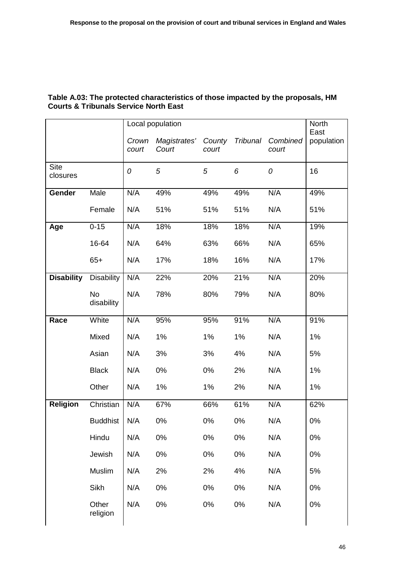#### **Table A.03: The protected characteristics of those impacted by the proposals, HM Courts & Tribunals Service North East**

|                         |                         |                  | Local population             |       |          |                   | North<br>East |
|-------------------------|-------------------------|------------------|------------------------------|-------|----------|-------------------|---------------|
|                         |                         | Crown<br>court   | Magistrates' County<br>Court | court | Tribunal | Combined<br>court | population    |
| <b>Site</b><br>closures |                         | 0                | 5                            | 5     | 6        | 0                 | 16            |
| Gender                  | Male                    | N/A              | 49%                          | 49%   | 49%      | N/A               | 49%           |
|                         | Female                  | N/A              | 51%                          | 51%   | 51%      | N/A               | 51%           |
| Age                     | $0 - 15$                | N/A              | 18%                          | 18%   | 18%      | N/A               | 19%           |
|                         | 16-64                   | N/A              | 64%                          | 63%   | 66%      | N/A               | 65%           |
|                         | $65+$                   | N/A              | 17%                          | 18%   | 16%      | N/A               | 17%           |
| <b>Disability</b>       | <b>Disability</b>       | N/A              | 22%                          | 20%   | 21%      | N/A               | 20%           |
|                         | <b>No</b><br>disability | N/A              | 78%                          | 80%   | 79%      | N/A               | 80%           |
| Race                    | White                   | N/A              | 95%                          | 95%   | 91%      | N/A               | 91%           |
|                         | Mixed                   | N/A              | 1%                           | 1%    | 1%       | N/A               | 1%            |
|                         | Asian                   | N/A              | 3%                           | 3%    | 4%       | N/A               | 5%            |
|                         | <b>Black</b>            | N/A              | 0%                           | 0%    | 2%       | N/A               | 1%            |
|                         | Other                   | N/A              | 1%                           | 1%    | 2%       | N/A               | 1%            |
| <b>Religion</b>         | Christian               | $\overline{N}/A$ | 67%                          | 66%   | 61%      | N/A               | 62%           |
|                         | <b>Buddhist</b>         | N/A              | 0%                           | 0%    | 0%       | N/A               | $0\%$         |
|                         | Hindu                   | N/A              | $0\%$                        | $0\%$ | 0%       | N/A               | 0%            |
|                         | Jewish                  | N/A              | 0%                           | $0\%$ | 0%       | N/A               | $0\%$         |
|                         | Muslim                  | N/A              | 2%                           | 2%    | 4%       | N/A               | 5%            |
|                         | Sikh                    | N/A              | 0%                           | 0%    | 0%       | N/A               | 0%            |
|                         | Other<br>religion       | N/A              | $0\%$                        | $0\%$ | 0%       | N/A               | 0%            |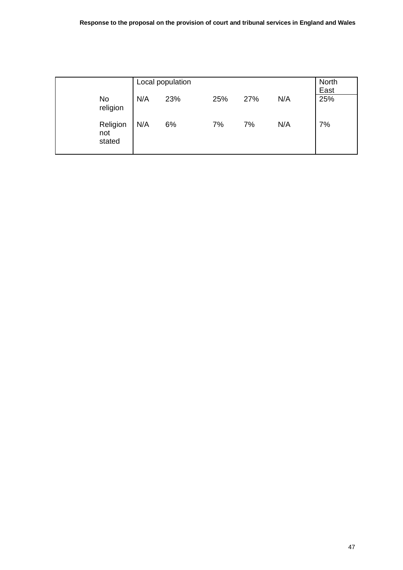|                           |     | Local population |     |     |     |     |  |
|---------------------------|-----|------------------|-----|-----|-----|-----|--|
| No<br>religion            | N/A | 23%              | 25% | 27% | N/A | 25% |  |
| Religion<br>not<br>stated | N/A | 6%               | 7%  | 7%  | N/A | 7%  |  |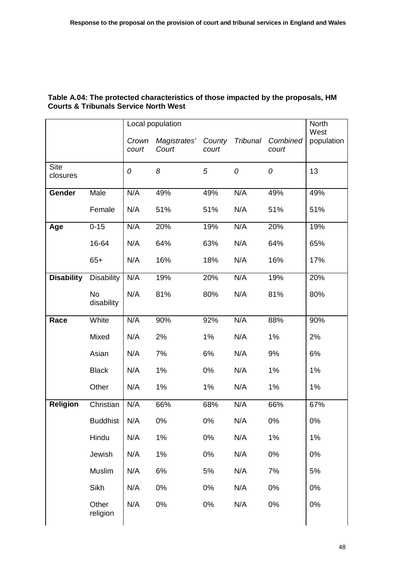#### **Table A.04: The protected characteristics of those impacted by the proposals, HM Courts & Tribunals Service North West**

|                         |                         |                | Local population      |                 |          |                   | North<br>West |
|-------------------------|-------------------------|----------------|-----------------------|-----------------|----------|-------------------|---------------|
|                         |                         | Crown<br>court | Magistrates'<br>Court | County<br>court | Tribunal | Combined<br>court | population    |
| <b>Site</b><br>closures |                         | 0              | 8                     | 5               | 0        | 0                 | 13            |
| Gender                  | Male                    | N/A            | 49%                   | 49%             | N/A      | 49%               | 49%           |
|                         | Female                  | N/A            | 51%                   | 51%             | N/A      | 51%               | 51%           |
| Age                     | $0 - 15$                | N/A            | 20%                   | 19%             | N/A      | 20%               | 19%           |
|                         | 16-64                   | N/A            | 64%                   | 63%             | N/A      | 64%               | 65%           |
|                         | $65+$                   | N/A            | 16%                   | 18%             | N/A      | 16%               | 17%           |
| <b>Disability</b>       | <b>Disability</b>       | N/A            | 19%                   | 20%             | N/A      | 19%               | 20%           |
|                         | <b>No</b><br>disability | N/A            | 81%                   | 80%             | N/A      | 81%               | 80%           |
| Race                    | White                   | N/A            | 90%                   | 92%             | N/A      | 88%               | 90%           |
|                         | Mixed                   | N/A            | 2%                    | 1%              | N/A      | 1%                | 2%            |
|                         | Asian                   | N/A            | 7%                    | 6%              | N/A      | 9%                | 6%            |
|                         | <b>Black</b>            | N/A            | 1%                    | 0%              | N/A      | 1%                | 1%            |
|                         | Other                   | N/A            | 1%                    | 1%              | N/A      | 1%                | 1%            |
| <b>Religion</b>         | Christian               | N/A            | 66%                   | 68%             | N/A      | 66%               | 67%           |
|                         | <b>Buddhist</b>         | N/A            | 0%                    | 0%              | N/A      | $0\%$             | $0\%$         |
|                         | Hindu                   | N/A            | 1%                    | $0\%$           | N/A      | $1\%$             | 1%            |
|                         | Jewish                  | N/A            | 1%                    | $0\%$           | N/A      | $0\%$             | $0\%$         |
|                         | Muslim                  | N/A            | 6%                    | 5%              | N/A      | 7%                | 5%            |
|                         | Sikh                    | N/A            | 0%                    | $0\%$           | N/A      | 0%                | 0%            |
|                         | Other<br>religion       | N/A            | $0\%$                 | 0%              | N/A      | $0\%$             | 0%            |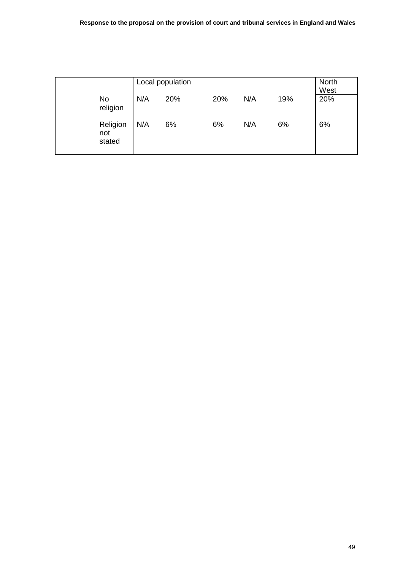|                           | Local population | North<br>West |     |     |     |     |
|---------------------------|------------------|---------------|-----|-----|-----|-----|
| No<br>religion            | N/A              | 20%           | 20% | N/A | 19% | 20% |
| Religion<br>not<br>stated | N/A              | 6%            | 6%  | N/A | 6%  | 6%  |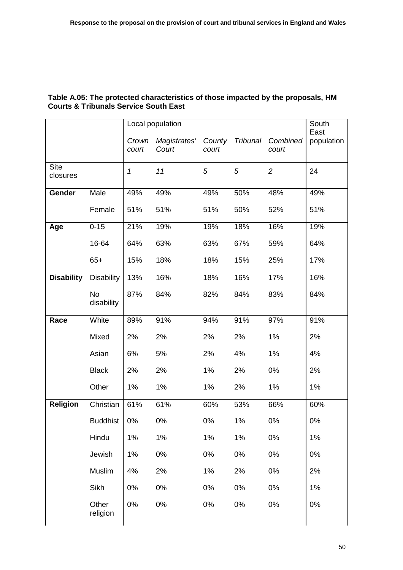#### **Table A.05: The protected characteristics of those impacted by the proposals, HM Courts & Tribunals Service South East**

|                         |                         | Local population |                              |       |          |                   | South<br>East |
|-------------------------|-------------------------|------------------|------------------------------|-------|----------|-------------------|---------------|
|                         |                         | Crown<br>court   | Magistrates' County<br>Court | court | Tribunal | Combined<br>court | population    |
| <b>Site</b><br>closures |                         | $\mathcal I$     | 11                           | 5     | 5        | $\overline{2}$    | 24            |
| Gender                  | Male                    | 49%              | 49%                          | 49%   | 50%      | 48%               | 49%           |
|                         | Female                  | 51%              | 51%                          | 51%   | 50%      | 52%               | 51%           |
| Age                     | $0 - 15$                | 21%              | 19%                          | 19%   | 18%      | 16%               | 19%           |
|                         | 16-64                   | 64%              | 63%                          | 63%   | 67%      | 59%               | 64%           |
|                         | $65+$                   | 15%              | 18%                          | 18%   | 15%      | 25%               | 17%           |
| <b>Disability</b>       | <b>Disability</b>       | 13%              | 16%                          | 18%   | 16%      | 17%               | 16%           |
|                         | <b>No</b><br>disability | 87%              | 84%                          | 82%   | 84%      | 83%               | 84%           |
| Race                    | White                   | 89%              | 91%                          | 94%   | 91%      | 97%               | 91%           |
|                         | Mixed                   | 2%               | 2%                           | 2%    | 2%       | 1%                | 2%            |
|                         | Asian                   | 6%               | 5%                           | 2%    | 4%       | 1%                | 4%            |
|                         | <b>Black</b>            | 2%               | 2%                           | 1%    | 2%       | 0%                | 2%            |
|                         | Other                   | 1%               | 1%                           | 1%    | 2%       | 1%                | 1%            |
| <b>Religion</b>         | Christian               | 61%              | 61%                          | 60%   | 53%      | 66%               | 60%           |
|                         | <b>Buddhist</b>         | 0%               | 0%                           | $0\%$ | 1%       | $0\%$             | $0\%$         |
|                         | Hindu                   | 1%               | 1%                           | $1\%$ | $1\%$    | $0\%$             | 1%            |
|                         | Jewish                  | 1%               | 0%                           | $0\%$ | 0%       | $0\%$             | $0\%$         |
|                         | Muslim                  | 4%               | 2%                           | 1%    | 2%       | 0%                | 2%            |
|                         | Sikh                    | 0%               | 0%                           | 0%    | 0%       | 0%                | 1%            |
|                         | Other<br>religion       | 0%               | 0%                           | $0\%$ | 0%       | $0\%$             | 0%            |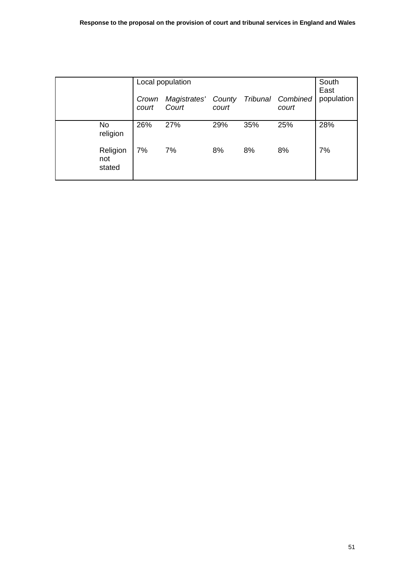|                           | Crown<br>court | Local population<br>Magistrates'<br>Court | court | County Tribunal | Combined<br>court | South<br>East<br>population |
|---------------------------|----------------|-------------------------------------------|-------|-----------------|-------------------|-----------------------------|
| <b>No</b><br>religion     | 26%            | 27%                                       | 29%   | 35%             | 25%               | 28%                         |
| Religion<br>not<br>stated | 7%             | 7%                                        | 8%    | 8%              | 8%                | 7%                          |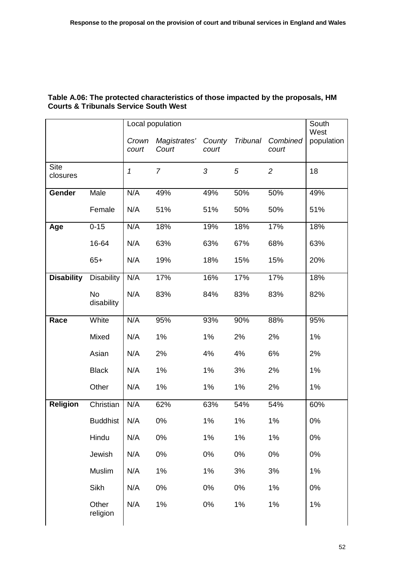#### **Table A.06: The protected characteristics of those impacted by the proposals, HM Courts & Tribunals Service South West**

|                         |                         | Local population |                              |       |          |                   | South<br>West |
|-------------------------|-------------------------|------------------|------------------------------|-------|----------|-------------------|---------------|
|                         |                         | Crown<br>court   | Magistrates' County<br>Court | court | Tribunal | Combined<br>court | population    |
| <b>Site</b><br>closures |                         | $\mathcal I$     | $\overline{7}$               | 3     | 5        | $\overline{2}$    | 18            |
| Gender                  | Male                    | N/A              | 49%                          | 49%   | 50%      | 50%               | 49%           |
|                         | Female                  | N/A              | 51%                          | 51%   | 50%      | 50%               | 51%           |
| Age                     | $0 - 15$                | N/A              | 18%                          | 19%   | 18%      | 17%               | 18%           |
|                         | 16-64                   | N/A              | 63%                          | 63%   | 67%      | 68%               | 63%           |
|                         | $65+$                   | N/A              | 19%                          | 18%   | 15%      | 15%               | 20%           |
| <b>Disability</b>       | <b>Disability</b>       | N/A              | 17%                          | 16%   | 17%      | 17%               | 18%           |
|                         | <b>No</b><br>disability | N/A              | 83%                          | 84%   | 83%      | 83%               | 82%           |
| Race                    | White                   | N/A              | 95%                          | 93%   | 90%      | 88%               | 95%           |
|                         | Mixed                   | N/A              | 1%                           | 1%    | 2%       | 2%                | 1%            |
|                         | Asian                   | N/A              | 2%                           | 4%    | 4%       | 6%                | 2%            |
|                         | <b>Black</b>            | N/A              | 1%                           | 1%    | 3%       | 2%                | 1%            |
|                         | Other                   | N/A              | 1%                           | 1%    | 1%       | 2%                | 1%            |
| <b>Religion</b>         | Christian               | N/A              | 62%                          | 63%   | 54%      | 54%               | 60%           |
|                         | <b>Buddhist</b>         | N/A              | 0%                           | 1%    | 1%       | 1%                | $0\%$         |
|                         | Hindu                   | N/A              | $0\%$                        | $1\%$ | $1\%$    | $1\%$             | $0\%$         |
|                         | Jewish                  | N/A              | $0\%$                        | $0\%$ | 0%       | $0\%$             | $0\%$         |
|                         | Muslim                  | N/A              | 1%                           | 1%    | 3%       | 3%                | 1%            |
|                         | Sikh                    | N/A              | 0%                           | 0%    | 0%       | 1%                | 0%            |
|                         | Other<br>religion       | N/A              | $1\%$                        | $0\%$ | 1%       | 1%                | 1%            |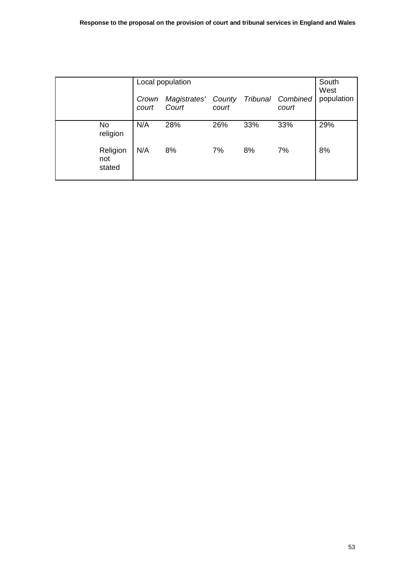|                           | Crown<br>court | Local population<br>Magistrates'<br>Court | court | County Tribunal | Combined<br>court | South<br>West<br>population |
|---------------------------|----------------|-------------------------------------------|-------|-----------------|-------------------|-----------------------------|
| No<br>religion            | N/A            | 28%                                       | 26%   | 33%             | 33%               | 29%                         |
| Religion<br>not<br>stated | N/A            | 8%                                        | 7%    | 8%              | 7%                | 8%                          |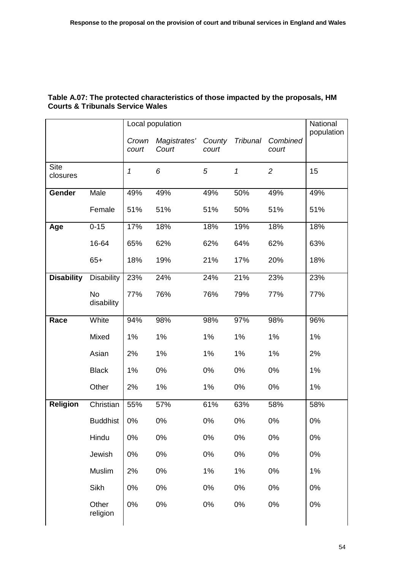#### **Table A.07: The protected characteristics of those impacted by the proposals, HM Courts & Tribunals Service Wales**

|                         |                         | Local population |                       |                 |              |                   | National<br>population |
|-------------------------|-------------------------|------------------|-----------------------|-----------------|--------------|-------------------|------------------------|
|                         |                         | Crown<br>court   | Magistrates'<br>Court | County<br>court | Tribunal     | Combined<br>court |                        |
| <b>Site</b><br>closures |                         | $\mathcal I$     | 6                     | 5               | $\mathcal I$ | $\overline{2}$    | 15                     |
| Gender                  | Male                    | 49%              | 49%                   | 49%             | 50%          | 49%               | 49%                    |
|                         | Female                  | 51%              | 51%                   | 51%             | 50%          | 51%               | 51%                    |
| Age                     | $0 - 15$                | 17%              | 18%                   | 18%             | 19%          | 18%               | 18%                    |
|                         | 16-64                   | 65%              | 62%                   | 62%             | 64%          | 62%               | 63%                    |
|                         | $65+$                   | 18%              | 19%                   | 21%             | 17%          | 20%               | 18%                    |
| <b>Disability</b>       | <b>Disability</b>       | 23%              | 24%                   | 24%             | 21%          | 23%               | 23%                    |
|                         | <b>No</b><br>disability | 77%              | 76%                   | 76%             | 79%          | 77%               | 77%                    |
| Race                    | White                   | 94%              | 98%                   | 98%             | 97%          | 98%               | 96%                    |
|                         | Mixed                   | 1%               | 1%                    | 1%              | 1%           | 1%                | 1%                     |
|                         | Asian                   | 2%               | 1%                    | 1%              | 1%           | 1%                | 2%                     |
|                         | <b>Black</b>            | 1%               | 0%                    | 0%              | 0%           | 0%                | 1%                     |
|                         | Other                   | 2%               | 1%                    | 1%              | 0%           | 0%                | 1%                     |
| Religion                | Christian               | 55%              | 57%                   | 61%             | 63%          | 58%               | 58%                    |
|                         | <b>Buddhist</b>         | 0%               | 0%                    | $0\%$           | 0%           | 0%                | $0\%$                  |
|                         | Hindu                   | 0%               | 0%                    | $0\%$           | 0%           | $0\%$             | $0\%$                  |
|                         | Jewish                  | 0%               | 0%                    | $0\%$           | 0%           | $0\%$             | $0\%$                  |
|                         | Muslim                  | 2%               | 0%                    | 1%              | 1%           | 0%                | 1%                     |
|                         | Sikh                    | 0%               | 0%                    | 0%              | 0%           | 0%                | 0%                     |
|                         | Other<br>religion       | 0%               | 0%                    | $0\%$           | 0%           | $0\%$             | 0%                     |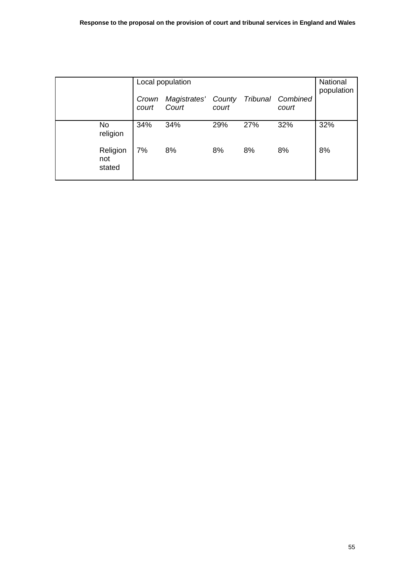|                           | Crown<br>court | Local population<br>Magistrates'<br>Court | court | County Tribunal | Combined<br>court | National<br>population |
|---------------------------|----------------|-------------------------------------------|-------|-----------------|-------------------|------------------------|
| <b>No</b><br>religion     | 34%            | 34%                                       | 29%   | 27%             | 32%               | 32%                    |
| Religion<br>not<br>stated | 7%             | 8%                                        | 8%    | 8%              | 8%                | 8%                     |